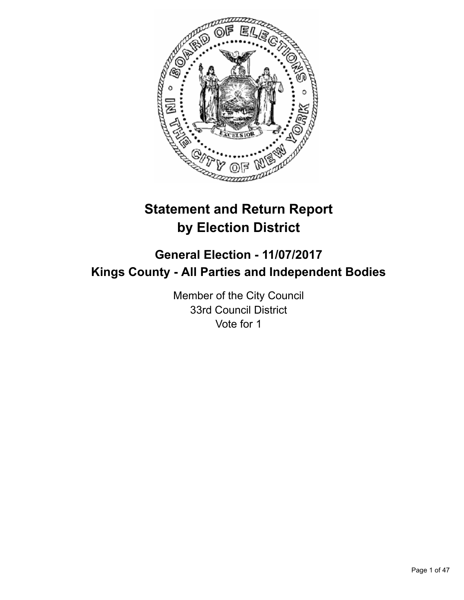

# **Statement and Return Report by Election District**

# **General Election - 11/07/2017 Kings County - All Parties and Independent Bodies**

Member of the City Council 33rd Council District Vote for 1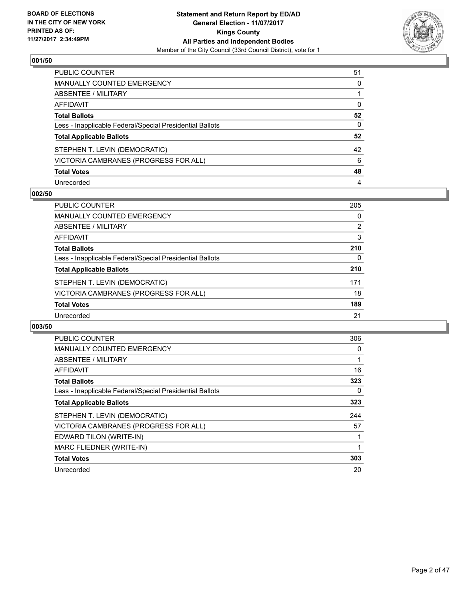

| <b>PUBLIC COUNTER</b>                                    | 51 |
|----------------------------------------------------------|----|
| <b>MANUALLY COUNTED EMERGENCY</b>                        | 0  |
| ABSENTEE / MILITARY                                      |    |
| <b>AFFIDAVIT</b>                                         | 0  |
| <b>Total Ballots</b>                                     | 52 |
| Less - Inapplicable Federal/Special Presidential Ballots | 0  |
| <b>Total Applicable Ballots</b>                          | 52 |
| STEPHEN T. LEVIN (DEMOCRATIC)                            | 42 |
| VICTORIA CAMBRANES (PROGRESS FOR ALL)                    | 6  |
| <b>Total Votes</b>                                       | 48 |
| Unrecorded                                               | 4  |

#### **002/50**

| <b>PUBLIC COUNTER</b>                                    | 205 |
|----------------------------------------------------------|-----|
| <b>MANUALLY COUNTED EMERGENCY</b>                        | 0   |
| ABSENTEE / MILITARY                                      | 2   |
| AFFIDAVIT                                                | 3   |
| <b>Total Ballots</b>                                     | 210 |
| Less - Inapplicable Federal/Special Presidential Ballots | 0   |
| <b>Total Applicable Ballots</b>                          | 210 |
| STEPHEN T. LEVIN (DEMOCRATIC)                            | 171 |
| VICTORIA CAMBRANES (PROGRESS FOR ALL)                    | 18  |
| <b>Total Votes</b>                                       | 189 |
| Unrecorded                                               | 21  |

| <b>PUBLIC COUNTER</b>                                    | 306 |
|----------------------------------------------------------|-----|
| <b>MANUALLY COUNTED EMERGENCY</b>                        | 0   |
| <b>ABSENTEE / MILITARY</b>                               |     |
| AFFIDAVIT                                                | 16  |
| <b>Total Ballots</b>                                     | 323 |
| Less - Inapplicable Federal/Special Presidential Ballots | 0   |
| <b>Total Applicable Ballots</b>                          | 323 |
| STEPHEN T. LEVIN (DEMOCRATIC)                            | 244 |
| VICTORIA CAMBRANES (PROGRESS FOR ALL)                    | 57  |
| EDWARD TILON (WRITE-IN)                                  |     |
| MARC FLIEDNER (WRITE-IN)                                 |     |
| <b>Total Votes</b>                                       | 303 |
| Unrecorded                                               | 20  |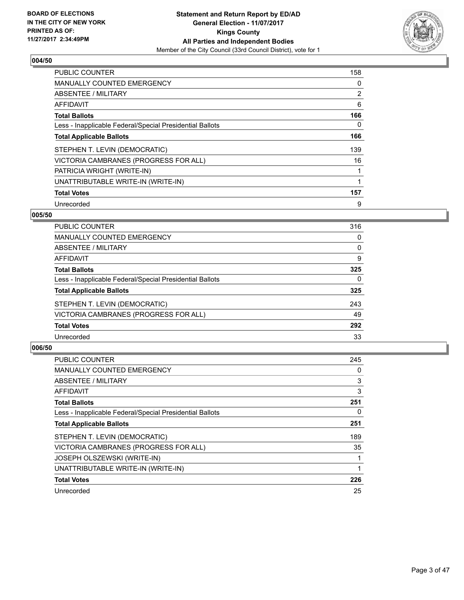

| <b>PUBLIC COUNTER</b>                                    | 158 |
|----------------------------------------------------------|-----|
| <b>MANUALLY COUNTED EMERGENCY</b>                        | 0   |
| ABSENTEE / MILITARY                                      | 2   |
| AFFIDAVIT                                                | 6   |
| <b>Total Ballots</b>                                     | 166 |
| Less - Inapplicable Federal/Special Presidential Ballots | 0   |
| <b>Total Applicable Ballots</b>                          | 166 |
| STEPHEN T. LEVIN (DEMOCRATIC)                            | 139 |
| VICTORIA CAMBRANES (PROGRESS FOR ALL)                    | 16  |
| PATRICIA WRIGHT (WRITE-IN)                               |     |
| UNATTRIBUTABLE WRITE-IN (WRITE-IN)                       |     |
| <b>Total Votes</b>                                       | 157 |
| Unrecorded                                               | 9   |

#### **005/50**

| <b>PUBLIC COUNTER</b>                                    | 316 |
|----------------------------------------------------------|-----|
| MANUALLY COUNTED EMERGENCY                               | 0   |
| ABSENTEE / MILITARY                                      | 0   |
| AFFIDAVIT                                                | 9   |
| <b>Total Ballots</b>                                     | 325 |
| Less - Inapplicable Federal/Special Presidential Ballots | 0   |
| <b>Total Applicable Ballots</b>                          | 325 |
| STEPHEN T. LEVIN (DEMOCRATIC)                            | 243 |
| VICTORIA CAMBRANES (PROGRESS FOR ALL)                    | 49  |
| <b>Total Votes</b>                                       | 292 |
| Unrecorded                                               | 33  |

| <b>PUBLIC COUNTER</b>                                    | 245 |
|----------------------------------------------------------|-----|
| <b>MANUALLY COUNTED EMERGENCY</b>                        | 0   |
| ABSENTEE / MILITARY                                      | 3   |
| AFFIDAVIT                                                | 3   |
| <b>Total Ballots</b>                                     | 251 |
| Less - Inapplicable Federal/Special Presidential Ballots | 0   |
| <b>Total Applicable Ballots</b>                          | 251 |
| STEPHEN T. LEVIN (DEMOCRATIC)                            | 189 |
| VICTORIA CAMBRANES (PROGRESS FOR ALL)                    | 35  |
| <b>JOSEPH OLSZEWSKI (WRITE-IN)</b>                       |     |
| UNATTRIBUTABLE WRITE-IN (WRITE-IN)                       |     |
| <b>Total Votes</b>                                       | 226 |
| Unrecorded                                               | 25  |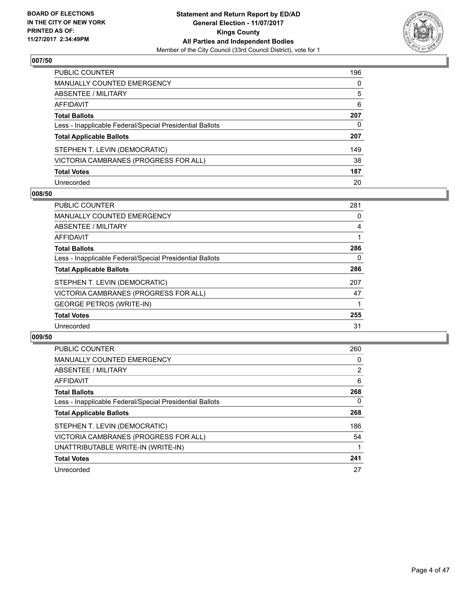

| <b>PUBLIC COUNTER</b>                                    | 196 |
|----------------------------------------------------------|-----|
| <b>MANUALLY COUNTED EMERGENCY</b>                        | 0   |
| ABSENTEE / MILITARY                                      | 5   |
| <b>AFFIDAVIT</b>                                         | 6   |
| <b>Total Ballots</b>                                     | 207 |
| Less - Inapplicable Federal/Special Presidential Ballots | 0   |
| <b>Total Applicable Ballots</b>                          | 207 |
| STEPHEN T. LEVIN (DEMOCRATIC)                            | 149 |
| VICTORIA CAMBRANES (PROGRESS FOR ALL)                    | 38  |
| <b>Total Votes</b>                                       | 187 |
| Unrecorded                                               | 20  |

#### **008/50**

| <b>PUBLIC COUNTER</b>                                    | 281 |
|----------------------------------------------------------|-----|
| <b>MANUALLY COUNTED EMERGENCY</b>                        | 0   |
| ABSENTEE / MILITARY                                      | 4   |
| <b>AFFIDAVIT</b>                                         |     |
| <b>Total Ballots</b>                                     | 286 |
| Less - Inapplicable Federal/Special Presidential Ballots | 0   |
| <b>Total Applicable Ballots</b>                          | 286 |
| STEPHEN T. LEVIN (DEMOCRATIC)                            | 207 |
| VICTORIA CAMBRANES (PROGRESS FOR ALL)                    | 47  |
| <b>GEORGE PETROS (WRITE-IN)</b>                          |     |
| <b>Total Votes</b>                                       | 255 |
| Unrecorded                                               | 31  |

| <b>PUBLIC COUNTER</b>                                    | 260            |
|----------------------------------------------------------|----------------|
| <b>MANUALLY COUNTED EMERGENCY</b>                        | 0              |
| ABSENTEE / MILITARY                                      | $\overline{2}$ |
| <b>AFFIDAVIT</b>                                         | 6              |
| <b>Total Ballots</b>                                     | 268            |
| Less - Inapplicable Federal/Special Presidential Ballots | $\Omega$       |
| <b>Total Applicable Ballots</b>                          | 268            |
| STEPHEN T. LEVIN (DEMOCRATIC)                            | 186            |
| VICTORIA CAMBRANES (PROGRESS FOR ALL)                    | 54             |
| UNATTRIBUTABLE WRITE-IN (WRITE-IN)                       |                |
| <b>Total Votes</b>                                       | 241            |
| Unrecorded                                               | 27             |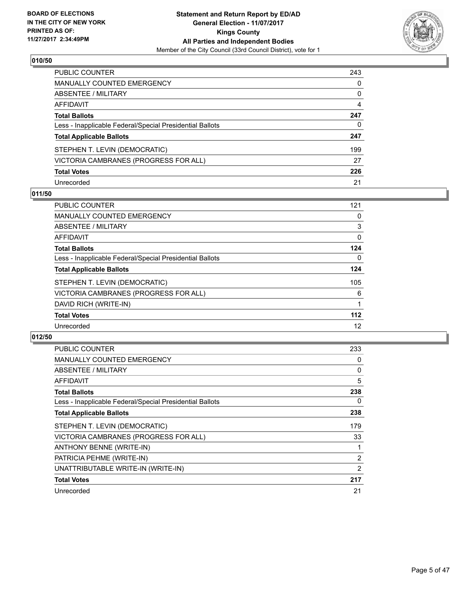

| <b>PUBLIC COUNTER</b>                                    | 243 |
|----------------------------------------------------------|-----|
| <b>MANUALLY COUNTED EMERGENCY</b>                        | 0   |
| <b>ABSENTEE / MILITARY</b>                               | 0   |
| AFFIDAVIT                                                | 4   |
| <b>Total Ballots</b>                                     | 247 |
| Less - Inapplicable Federal/Special Presidential Ballots | 0   |
| <b>Total Applicable Ballots</b>                          | 247 |
| STEPHEN T. LEVIN (DEMOCRATIC)                            | 199 |
| VICTORIA CAMBRANES (PROGRESS FOR ALL)                    | 27  |
| <b>Total Votes</b>                                       | 226 |
| Unrecorded                                               | 21  |

## **011/50**

| <b>PUBLIC COUNTER</b>                                    | 121 |
|----------------------------------------------------------|-----|
| <b>MANUALLY COUNTED EMERGENCY</b>                        | 0   |
| ABSENTEE / MILITARY                                      | 3   |
| AFFIDAVIT                                                | 0   |
| <b>Total Ballots</b>                                     | 124 |
| Less - Inapplicable Federal/Special Presidential Ballots | 0   |
| <b>Total Applicable Ballots</b>                          | 124 |
| STEPHEN T. LEVIN (DEMOCRATIC)                            | 105 |
| VICTORIA CAMBRANES (PROGRESS FOR ALL)                    | 6   |
| DAVID RICH (WRITE-IN)                                    |     |
| <b>Total Votes</b>                                       | 112 |
| Unrecorded                                               | 12  |

| <b>PUBLIC COUNTER</b>                                    | 233            |
|----------------------------------------------------------|----------------|
| <b>MANUALLY COUNTED EMERGENCY</b>                        | 0              |
| ABSENTEE / MILITARY                                      | 0              |
| AFFIDAVIT                                                | 5              |
| <b>Total Ballots</b>                                     | 238            |
| Less - Inapplicable Federal/Special Presidential Ballots | 0              |
| <b>Total Applicable Ballots</b>                          | 238            |
| STEPHEN T. LEVIN (DEMOCRATIC)                            | 179            |
| VICTORIA CAMBRANES (PROGRESS FOR ALL)                    | 33             |
| ANTHONY BENNE (WRITE-IN)                                 |                |
| PATRICIA PEHME (WRITE-IN)                                | $\overline{2}$ |
|                                                          |                |
| UNATTRIBUTABLE WRITE-IN (WRITE-IN)                       | 2              |
| <b>Total Votes</b>                                       | 217            |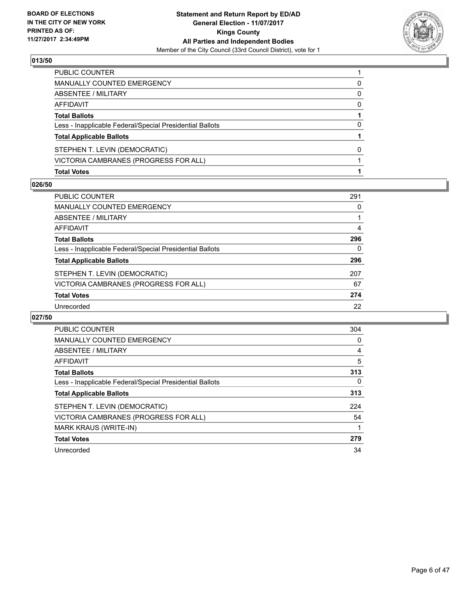

| <b>Total Votes</b>                                       |   |
|----------------------------------------------------------|---|
| VICTORIA CAMBRANES (PROGRESS FOR ALL)                    |   |
| STEPHEN T. LEVIN (DEMOCRATIC)                            | 0 |
| <b>Total Applicable Ballots</b>                          |   |
| Less - Inapplicable Federal/Special Presidential Ballots | 0 |
| <b>Total Ballots</b>                                     |   |
| AFFIDAVIT                                                | 0 |
| ABSENTEE / MILITARY                                      | 0 |
| <b>MANUALLY COUNTED EMERGENCY</b>                        | 0 |
| PUBLIC COUNTER                                           |   |

#### **026/50**

| <b>PUBLIC COUNTER</b>                                    | 291 |
|----------------------------------------------------------|-----|
| MANUALLY COUNTED EMERGENCY                               | 0   |
| ABSENTEE / MILITARY                                      |     |
| AFFIDAVIT                                                | 4   |
| <b>Total Ballots</b>                                     | 296 |
| Less - Inapplicable Federal/Special Presidential Ballots | 0   |
| <b>Total Applicable Ballots</b>                          | 296 |
| STEPHEN T. LEVIN (DEMOCRATIC)                            | 207 |
| VICTORIA CAMBRANES (PROGRESS FOR ALL)                    | 67  |
| <b>Total Votes</b>                                       | 274 |
| Unrecorded                                               | 22  |
|                                                          |     |

| <b>PUBLIC COUNTER</b>                                    | 304      |
|----------------------------------------------------------|----------|
| <b>MANUALLY COUNTED EMERGENCY</b>                        | 0        |
| ABSENTEE / MILITARY                                      | 4        |
| <b>AFFIDAVIT</b>                                         | 5        |
| <b>Total Ballots</b>                                     | 313      |
| Less - Inapplicable Federal/Special Presidential Ballots | $\Omega$ |
| <b>Total Applicable Ballots</b>                          | 313      |
| STEPHEN T. LEVIN (DEMOCRATIC)                            | 224      |
| VICTORIA CAMBRANES (PROGRESS FOR ALL)                    | 54       |
| <b>MARK KRAUS (WRITE-IN)</b>                             |          |
| <b>Total Votes</b>                                       | 279      |
| Unrecorded                                               | 34       |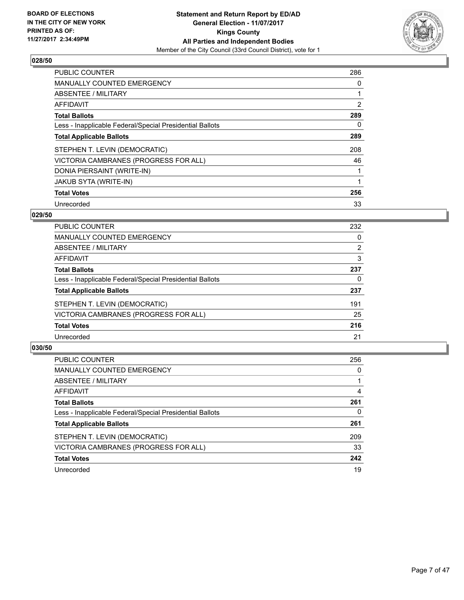

| <b>PUBLIC COUNTER</b>                                    | 286 |
|----------------------------------------------------------|-----|
| <b>MANUALLY COUNTED EMERGENCY</b>                        | 0   |
| ABSENTEE / MILITARY                                      |     |
| <b>AFFIDAVIT</b>                                         | 2   |
| <b>Total Ballots</b>                                     | 289 |
| Less - Inapplicable Federal/Special Presidential Ballots | 0   |
| <b>Total Applicable Ballots</b>                          | 289 |
| STEPHEN T. LEVIN (DEMOCRATIC)                            | 208 |
| VICTORIA CAMBRANES (PROGRESS FOR ALL)                    | 46  |
| DONIA PIERSAINT (WRITE-IN)                               |     |
| <b>JAKUB SYTA (WRITE-IN)</b>                             |     |
| <b>Total Votes</b>                                       | 256 |
| Unrecorded                                               | 33  |

# **029/50**

| <b>PUBLIC COUNTER</b>                                    | 232 |
|----------------------------------------------------------|-----|
| MANUALLY COUNTED EMERGENCY                               | 0   |
| ABSENTEE / MILITARY                                      | 2   |
| AFFIDAVIT                                                | 3   |
| <b>Total Ballots</b>                                     | 237 |
| Less - Inapplicable Federal/Special Presidential Ballots | 0   |
| <b>Total Applicable Ballots</b>                          | 237 |
| STEPHEN T. LEVIN (DEMOCRATIC)                            | 191 |
| VICTORIA CAMBRANES (PROGRESS FOR ALL)                    | 25  |
| <b>Total Votes</b>                                       | 216 |
| Unrecorded                                               | 21  |

| <b>PUBLIC COUNTER</b>                                    | 256 |
|----------------------------------------------------------|-----|
| MANUALLY COUNTED EMERGENCY                               | 0   |
| ABSENTEE / MILITARY                                      |     |
| AFFIDAVIT                                                | 4   |
| <b>Total Ballots</b>                                     | 261 |
| Less - Inapplicable Federal/Special Presidential Ballots | 0   |
| <b>Total Applicable Ballots</b>                          | 261 |
| STEPHEN T. LEVIN (DEMOCRATIC)                            | 209 |
| VICTORIA CAMBRANES (PROGRESS FOR ALL)                    | 33  |
| <b>Total Votes</b>                                       | 242 |
| Unrecorded                                               | 19  |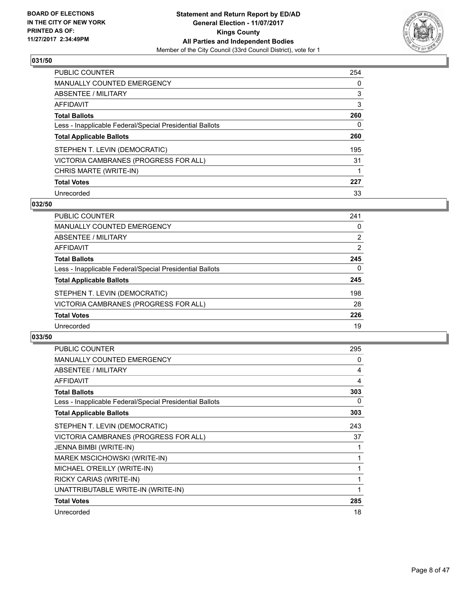

| <b>PUBLIC COUNTER</b>                                    | 254 |
|----------------------------------------------------------|-----|
| <b>MANUALLY COUNTED EMERGENCY</b>                        | 0   |
| ABSENTEE / MILITARY                                      | 3   |
| AFFIDAVIT                                                | 3   |
| <b>Total Ballots</b>                                     | 260 |
| Less - Inapplicable Federal/Special Presidential Ballots | 0   |
| <b>Total Applicable Ballots</b>                          | 260 |
| STEPHEN T. LEVIN (DEMOCRATIC)                            | 195 |
| VICTORIA CAMBRANES (PROGRESS FOR ALL)                    | 31  |
| CHRIS MARTE (WRITE-IN)                                   |     |
| <b>Total Votes</b>                                       | 227 |
| Unrecorded                                               | 33  |

#### **032/50**

| <b>PUBLIC COUNTER</b>                                    | 241 |
|----------------------------------------------------------|-----|
| MANUALLY COUNTED EMERGENCY                               | 0   |
| ABSENTEE / MILITARY                                      | 2   |
| <b>AFFIDAVIT</b>                                         | 2   |
| <b>Total Ballots</b>                                     | 245 |
| Less - Inapplicable Federal/Special Presidential Ballots | 0   |
| <b>Total Applicable Ballots</b>                          | 245 |
| STEPHEN T. LEVIN (DEMOCRATIC)                            | 198 |
| VICTORIA CAMBRANES (PROGRESS FOR ALL)                    | 28  |
| <b>Total Votes</b>                                       | 226 |
| Unrecorded                                               | 19  |

| PUBLIC COUNTER                                           | 295 |
|----------------------------------------------------------|-----|
| <b>MANUALLY COUNTED EMERGENCY</b>                        | 0   |
| ABSENTEE / MILITARY                                      | 4   |
| <b>AFFIDAVIT</b>                                         | 4   |
| <b>Total Ballots</b>                                     | 303 |
| Less - Inapplicable Federal/Special Presidential Ballots | 0   |
| <b>Total Applicable Ballots</b>                          | 303 |
| STEPHEN T. LEVIN (DEMOCRATIC)                            | 243 |
| VICTORIA CAMBRANES (PROGRESS FOR ALL)                    | 37  |
| JENNA BIMBI (WRITE-IN)                                   |     |
| MAREK MSCICHOWSKI (WRITE-IN)                             |     |
| MICHAEL O'REILLY (WRITE-IN)                              | 1   |
| RICKY CARIAS (WRITE-IN)                                  |     |
| UNATTRIBUTABLE WRITE-IN (WRITE-IN)                       | 1   |
| <b>Total Votes</b>                                       | 285 |
| Unrecorded                                               | 18  |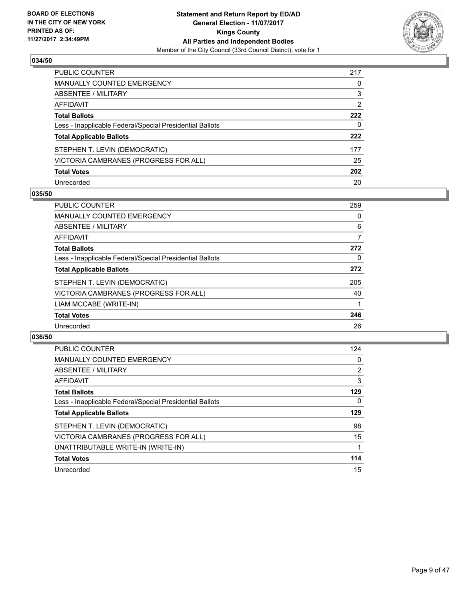

| <b>PUBLIC COUNTER</b>                                    | 217 |
|----------------------------------------------------------|-----|
| <b>MANUALLY COUNTED EMERGENCY</b>                        | 0   |
| ABSENTEE / MILITARY                                      | 3   |
| <b>AFFIDAVIT</b>                                         | 2   |
| <b>Total Ballots</b>                                     | 222 |
| Less - Inapplicable Federal/Special Presidential Ballots | 0   |
| <b>Total Applicable Ballots</b>                          | 222 |
| STEPHEN T. LEVIN (DEMOCRATIC)                            | 177 |
| VICTORIA CAMBRANES (PROGRESS FOR ALL)                    | 25  |
| <b>Total Votes</b>                                       | 202 |
| Unrecorded                                               | 20  |

#### **035/50**

| <b>PUBLIC COUNTER</b>                                    | 259 |
|----------------------------------------------------------|-----|
| <b>MANUALLY COUNTED EMERGENCY</b>                        | 0   |
| ABSENTEE / MILITARY                                      | 6   |
| <b>AFFIDAVIT</b>                                         | 7   |
| <b>Total Ballots</b>                                     | 272 |
| Less - Inapplicable Federal/Special Presidential Ballots | 0   |
| <b>Total Applicable Ballots</b>                          | 272 |
| STEPHEN T. LEVIN (DEMOCRATIC)                            | 205 |
| VICTORIA CAMBRANES (PROGRESS FOR ALL)                    | 40  |
| LIAM MCCABE (WRITE-IN)                                   |     |
| <b>Total Votes</b>                                       | 246 |
| Unrecorded                                               | 26  |

| <b>PUBLIC COUNTER</b>                                    | 124            |
|----------------------------------------------------------|----------------|
| <b>MANUALLY COUNTED EMERGENCY</b>                        | 0              |
| ABSENTEE / MILITARY                                      | $\overline{2}$ |
| AFFIDAVIT                                                | 3              |
| <b>Total Ballots</b>                                     | 129            |
| Less - Inapplicable Federal/Special Presidential Ballots | $\Omega$       |
| <b>Total Applicable Ballots</b>                          | 129            |
| STEPHEN T. LEVIN (DEMOCRATIC)                            | 98             |
| VICTORIA CAMBRANES (PROGRESS FOR ALL)                    | 15             |
| UNATTRIBUTABLE WRITE-IN (WRITE-IN)                       |                |
| <b>Total Votes</b>                                       | 114            |
| Unrecorded                                               | 15             |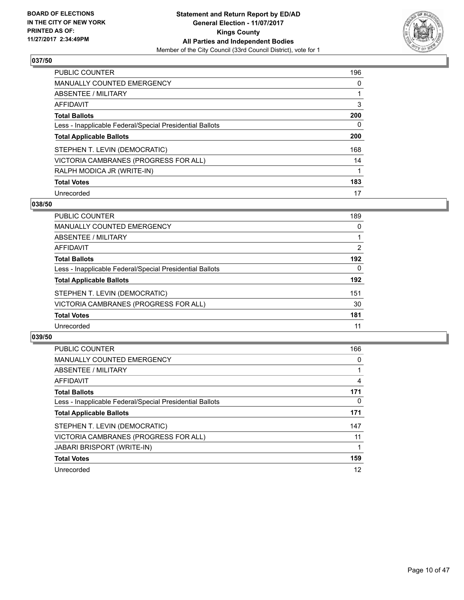

| <b>PUBLIC COUNTER</b>                                    | 196 |
|----------------------------------------------------------|-----|
| <b>MANUALLY COUNTED EMERGENCY</b>                        | 0   |
| ABSENTEE / MILITARY                                      |     |
| AFFIDAVIT                                                | 3   |
| <b>Total Ballots</b>                                     | 200 |
| Less - Inapplicable Federal/Special Presidential Ballots | 0   |
| <b>Total Applicable Ballots</b>                          | 200 |
| STEPHEN T. LEVIN (DEMOCRATIC)                            | 168 |
| VICTORIA CAMBRANES (PROGRESS FOR ALL)                    | 14  |
| RALPH MODICA JR (WRITE-IN)                               |     |
| <b>Total Votes</b>                                       | 183 |
| Unrecorded                                               | 17  |

#### **038/50**

| <b>PUBLIC COUNTER</b>                                    | 189 |
|----------------------------------------------------------|-----|
| MANUALLY COUNTED EMERGENCY                               | 0   |
| ABSENTEE / MILITARY                                      |     |
| AFFIDAVIT                                                | 2   |
| <b>Total Ballots</b>                                     | 192 |
| Less - Inapplicable Federal/Special Presidential Ballots | 0   |
| <b>Total Applicable Ballots</b>                          | 192 |
| STEPHEN T. LEVIN (DEMOCRATIC)                            | 151 |
| VICTORIA CAMBRANES (PROGRESS FOR ALL)                    | 30  |
| <b>Total Votes</b>                                       | 181 |
| Unrecorded                                               | 11  |

| <b>PUBLIC COUNTER</b>                                    | 166      |
|----------------------------------------------------------|----------|
| <b>MANUALLY COUNTED EMERGENCY</b>                        | 0        |
| ABSENTEE / MILITARY                                      |          |
| <b>AFFIDAVIT</b>                                         | 4        |
| <b>Total Ballots</b>                                     | 171      |
| Less - Inapplicable Federal/Special Presidential Ballots | $\Omega$ |
| <b>Total Applicable Ballots</b>                          | 171      |
| STEPHEN T. LEVIN (DEMOCRATIC)                            | 147      |
| VICTORIA CAMBRANES (PROGRESS FOR ALL)                    | 11       |
| <b>JABARI BRISPORT (WRITE-IN)</b>                        |          |
| <b>Total Votes</b>                                       | 159      |
| Unrecorded                                               | 12       |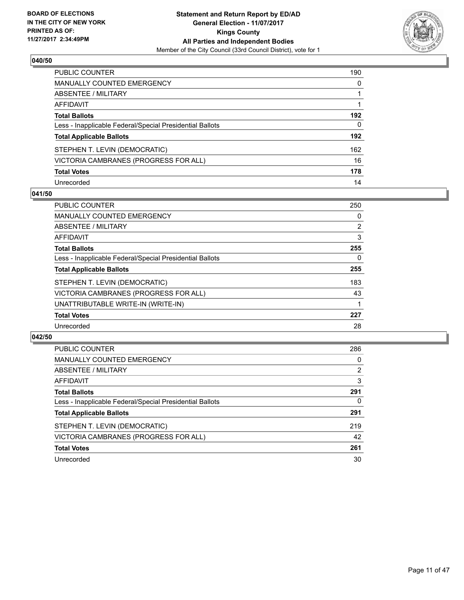

| <b>PUBLIC COUNTER</b>                                    | 190 |
|----------------------------------------------------------|-----|
| <b>MANUALLY COUNTED EMERGENCY</b>                        | 0   |
| ABSENTEE / MILITARY                                      |     |
| <b>AFFIDAVIT</b>                                         |     |
| <b>Total Ballots</b>                                     | 192 |
| Less - Inapplicable Federal/Special Presidential Ballots | 0   |
| <b>Total Applicable Ballots</b>                          | 192 |
| STEPHEN T. LEVIN (DEMOCRATIC)                            | 162 |
| VICTORIA CAMBRANES (PROGRESS FOR ALL)                    | 16  |
| <b>Total Votes</b>                                       | 178 |
| Unrecorded                                               | 14  |

#### **041/50**

| <b>PUBLIC COUNTER</b>                                    | 250            |
|----------------------------------------------------------|----------------|
| <b>MANUALLY COUNTED EMERGENCY</b>                        | 0              |
| ABSENTEE / MILITARY                                      | $\overline{2}$ |
| <b>AFFIDAVIT</b>                                         | 3              |
| <b>Total Ballots</b>                                     | 255            |
| Less - Inapplicable Federal/Special Presidential Ballots | 0              |
| <b>Total Applicable Ballots</b>                          | 255            |
| STEPHEN T. LEVIN (DEMOCRATIC)                            | 183            |
| VICTORIA CAMBRANES (PROGRESS FOR ALL)                    | 43             |
| UNATTRIBUTABLE WRITE-IN (WRITE-IN)                       |                |
| <b>Total Votes</b>                                       | 227            |
| Unrecorded                                               | 28             |

| <b>PUBLIC COUNTER</b>                                    | 286 |
|----------------------------------------------------------|-----|
| MANUALLY COUNTED EMERGENCY                               | 0   |
| ABSENTEE / MILITARY                                      | 2   |
| AFFIDAVIT                                                | 3   |
| <b>Total Ballots</b>                                     | 291 |
| Less - Inapplicable Federal/Special Presidential Ballots | 0   |
| <b>Total Applicable Ballots</b>                          | 291 |
| STEPHEN T. LEVIN (DEMOCRATIC)                            | 219 |
| VICTORIA CAMBRANES (PROGRESS FOR ALL)                    | 42  |
| <b>Total Votes</b>                                       | 261 |
| Unrecorded                                               | 30  |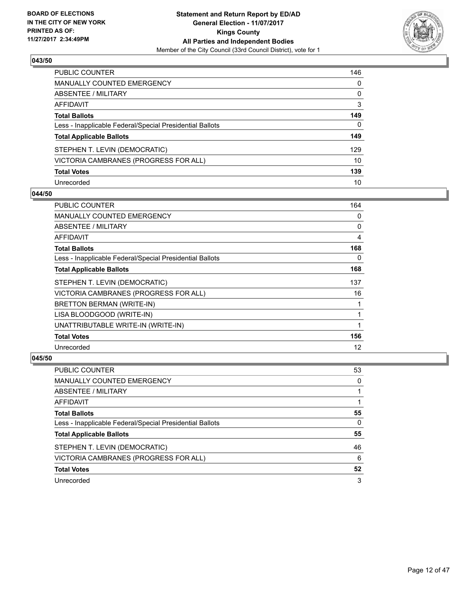

| <b>PUBLIC COUNTER</b>                                    | 146 |
|----------------------------------------------------------|-----|
| <b>MANUALLY COUNTED EMERGENCY</b>                        | 0   |
| ABSENTEE / MILITARY                                      | 0   |
| <b>AFFIDAVIT</b>                                         | 3   |
| <b>Total Ballots</b>                                     | 149 |
| Less - Inapplicable Federal/Special Presidential Ballots | 0   |
| <b>Total Applicable Ballots</b>                          | 149 |
| STEPHEN T. LEVIN (DEMOCRATIC)                            | 129 |
| VICTORIA CAMBRANES (PROGRESS FOR ALL)                    | 10  |
| <b>Total Votes</b>                                       | 139 |
| Unrecorded                                               | 10  |

#### **044/50**

| PUBLIC COUNTER                                           | 164 |
|----------------------------------------------------------|-----|
| <b>MANUALLY COUNTED EMERGENCY</b>                        | 0   |
| <b>ABSENTEE / MILITARY</b>                               | 0   |
| AFFIDAVIT                                                | 4   |
| <b>Total Ballots</b>                                     | 168 |
| Less - Inapplicable Federal/Special Presidential Ballots | 0   |
| <b>Total Applicable Ballots</b>                          | 168 |
| STEPHEN T. LEVIN (DEMOCRATIC)                            | 137 |
| VICTORIA CAMBRANES (PROGRESS FOR ALL)                    | 16  |
| BRETTON BERMAN (WRITE-IN)                                |     |
| LISA BLOODGOOD (WRITE-IN)                                |     |
| UNATTRIBUTABLE WRITE-IN (WRITE-IN)                       |     |
| <b>Total Votes</b>                                       | 156 |
| Unrecorded                                               | 12  |

| <b>PUBLIC COUNTER</b>                                    | 53 |
|----------------------------------------------------------|----|
| <b>MANUALLY COUNTED EMERGENCY</b>                        | 0  |
| ABSENTEE / MILITARY                                      |    |
| AFFIDAVIT                                                |    |
| <b>Total Ballots</b>                                     | 55 |
| Less - Inapplicable Federal/Special Presidential Ballots | 0  |
| <b>Total Applicable Ballots</b>                          | 55 |
| STEPHEN T. LEVIN (DEMOCRATIC)                            | 46 |
| VICTORIA CAMBRANES (PROGRESS FOR ALL)                    | 6  |
| <b>Total Votes</b>                                       | 52 |
| Unrecorded                                               | 3  |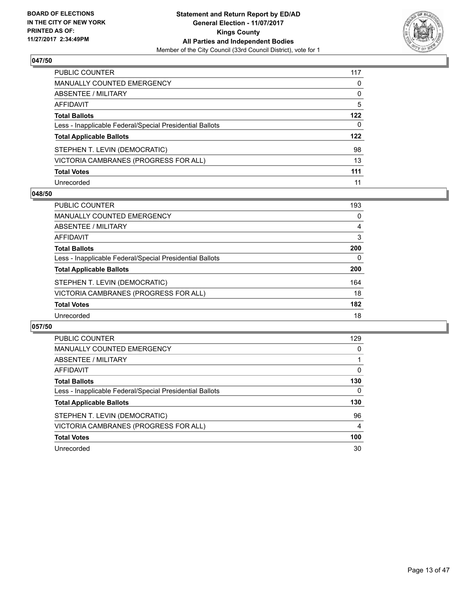

| PUBLIC COUNTER                                           | 117 |
|----------------------------------------------------------|-----|
| <b>MANUALLY COUNTED EMERGENCY</b>                        | 0   |
| <b>ABSENTEE / MILITARY</b>                               | 0   |
| <b>AFFIDAVIT</b>                                         | 5   |
| <b>Total Ballots</b>                                     | 122 |
| Less - Inapplicable Federal/Special Presidential Ballots | 0   |
| <b>Total Applicable Ballots</b>                          | 122 |
| STEPHEN T. LEVIN (DEMOCRATIC)                            | 98  |
| VICTORIA CAMBRANES (PROGRESS FOR ALL)                    | 13  |
| <b>Total Votes</b>                                       | 111 |
| Unrecorded                                               | 11  |

#### **048/50**

| <b>PUBLIC COUNTER</b>                                    | 193 |
|----------------------------------------------------------|-----|
| MANUALLY COUNTED EMERGENCY                               | 0   |
| ABSENTEE / MILITARY                                      | 4   |
| AFFIDAVIT                                                | 3   |
| <b>Total Ballots</b>                                     | 200 |
| Less - Inapplicable Federal/Special Presidential Ballots | 0   |
| <b>Total Applicable Ballots</b>                          | 200 |
| STEPHEN T. LEVIN (DEMOCRATIC)                            | 164 |
| VICTORIA CAMBRANES (PROGRESS FOR ALL)                    | 18  |
| <b>Total Votes</b>                                       | 182 |
| Unrecorded                                               | 18  |

| <b>PUBLIC COUNTER</b>                                    | 129 |
|----------------------------------------------------------|-----|
| MANUALLY COUNTED EMERGENCY                               | 0   |
| ABSENTEE / MILITARY                                      |     |
| AFFIDAVIT                                                | 0   |
| <b>Total Ballots</b>                                     | 130 |
| Less - Inapplicable Federal/Special Presidential Ballots | 0   |
| <b>Total Applicable Ballots</b>                          | 130 |
| STEPHEN T. LEVIN (DEMOCRATIC)                            | 96  |
| VICTORIA CAMBRANES (PROGRESS FOR ALL)                    | 4   |
| <b>Total Votes</b>                                       | 100 |
|                                                          |     |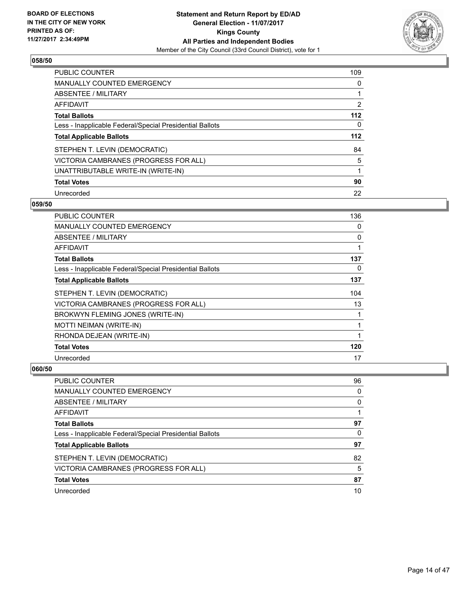

| <b>PUBLIC COUNTER</b>                                    | 109 |
|----------------------------------------------------------|-----|
| <b>MANUALLY COUNTED EMERGENCY</b>                        | 0   |
| ABSENTEE / MILITARY                                      |     |
| AFFIDAVIT                                                | 2   |
| <b>Total Ballots</b>                                     | 112 |
| Less - Inapplicable Federal/Special Presidential Ballots | 0   |
| <b>Total Applicable Ballots</b>                          | 112 |
| STEPHEN T. LEVIN (DEMOCRATIC)                            | 84  |
| VICTORIA CAMBRANES (PROGRESS FOR ALL)                    | 5   |
| UNATTRIBUTABLE WRITE-IN (WRITE-IN)                       |     |
| <b>Total Votes</b>                                       | 90  |
| Unrecorded                                               | 22  |

#### **059/50**

| <b>PUBLIC COUNTER</b>                                    | 136 |
|----------------------------------------------------------|-----|
| MANUALLY COUNTED EMERGENCY                               | 0   |
| ABSENTEE / MILITARY                                      | 0   |
| AFFIDAVIT                                                | 1   |
| <b>Total Ballots</b>                                     | 137 |
| Less - Inapplicable Federal/Special Presidential Ballots | 0   |
| <b>Total Applicable Ballots</b>                          | 137 |
| STEPHEN T. LEVIN (DEMOCRATIC)                            | 104 |
| VICTORIA CAMBRANES (PROGRESS FOR ALL)                    | 13  |
| BROKWYN FLEMING JONES (WRITE-IN)                         | 1   |
| <b>MOTTI NEIMAN (WRITE-IN)</b>                           | 1   |
| RHONDA DEJEAN (WRITE-IN)                                 | 1   |
| <b>Total Votes</b>                                       | 120 |
| Unrecorded                                               | 17  |

| <b>PUBLIC COUNTER</b>                                    | 96 |
|----------------------------------------------------------|----|
| <b>MANUALLY COUNTED EMERGENCY</b>                        | 0  |
| ABSENTEE / MILITARY                                      | 0  |
| AFFIDAVIT                                                |    |
| <b>Total Ballots</b>                                     | 97 |
| Less - Inapplicable Federal/Special Presidential Ballots | 0  |
| <b>Total Applicable Ballots</b>                          | 97 |
| STEPHEN T. LEVIN (DEMOCRATIC)                            | 82 |
| VICTORIA CAMBRANES (PROGRESS FOR ALL)                    | 5  |
| <b>Total Votes</b>                                       | 87 |
| Unrecorded                                               | 10 |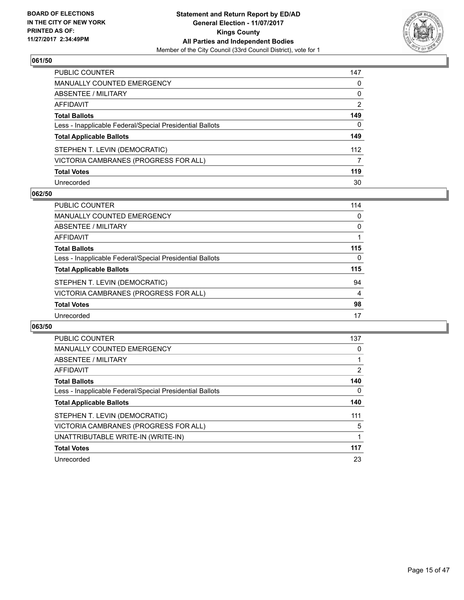

| <b>PUBLIC COUNTER</b>                                    | 147 |
|----------------------------------------------------------|-----|
| <b>MANUALLY COUNTED EMERGENCY</b>                        | 0   |
| <b>ABSENTEE / MILITARY</b>                               | 0   |
| <b>AFFIDAVIT</b>                                         | 2   |
| <b>Total Ballots</b>                                     | 149 |
| Less - Inapplicable Federal/Special Presidential Ballots | 0   |
| <b>Total Applicable Ballots</b>                          | 149 |
| STEPHEN T. LEVIN (DEMOCRATIC)                            | 112 |
| VICTORIA CAMBRANES (PROGRESS FOR ALL)                    | 7   |
| <b>Total Votes</b>                                       | 119 |
| Unrecorded                                               | 30  |

#### **062/50**

| PUBLIC COUNTER                                           | 114 |
|----------------------------------------------------------|-----|
| MANUALLY COUNTED EMERGENCY                               | 0   |
| ABSENTEE / MILITARY                                      | 0   |
| AFFIDAVIT                                                |     |
| <b>Total Ballots</b>                                     | 115 |
| Less - Inapplicable Federal/Special Presidential Ballots | 0   |
| <b>Total Applicable Ballots</b>                          | 115 |
| STEPHEN T. LEVIN (DEMOCRATIC)                            | 94  |
| VICTORIA CAMBRANES (PROGRESS FOR ALL)                    | 4   |
| <b>Total Votes</b>                                       | 98  |
| Unrecorded                                               | 17  |

| PUBLIC COUNTER                                           | 137 |
|----------------------------------------------------------|-----|
| <b>MANUALLY COUNTED EMERGENCY</b>                        | 0   |
| ABSENTEE / MILITARY                                      |     |
| AFFIDAVIT                                                | 2   |
| <b>Total Ballots</b>                                     | 140 |
| Less - Inapplicable Federal/Special Presidential Ballots | 0   |
| <b>Total Applicable Ballots</b>                          | 140 |
| STEPHEN T. LEVIN (DEMOCRATIC)                            | 111 |
| VICTORIA CAMBRANES (PROGRESS FOR ALL)                    | 5   |
| UNATTRIBUTABLE WRITE-IN (WRITE-IN)                       |     |
| <b>Total Votes</b>                                       | 117 |
| Unrecorded                                               | 23  |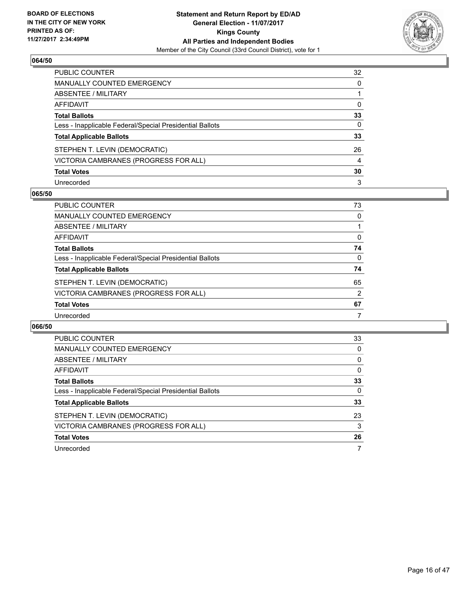

| <b>PUBLIC COUNTER</b>                                    | 32 |
|----------------------------------------------------------|----|
| <b>MANUALLY COUNTED EMERGENCY</b>                        | 0  |
| <b>ABSENTEE / MILITARY</b>                               |    |
| AFFIDAVIT                                                | 0  |
| <b>Total Ballots</b>                                     | 33 |
| Less - Inapplicable Federal/Special Presidential Ballots | 0  |
| <b>Total Applicable Ballots</b>                          | 33 |
| STEPHEN T. LEVIN (DEMOCRATIC)                            | 26 |
| VICTORIA CAMBRANES (PROGRESS FOR ALL)                    | 4  |
| <b>Total Votes</b>                                       | 30 |
| Unrecorded                                               | 3  |

#### **065/50**

| PUBLIC COUNTER                                           | 73       |
|----------------------------------------------------------|----------|
| MANUALLY COUNTED EMERGENCY                               | 0        |
| ABSENTEE / MILITARY                                      |          |
| AFFIDAVIT                                                | 0        |
| <b>Total Ballots</b>                                     | 74       |
| Less - Inapplicable Federal/Special Presidential Ballots | $\Omega$ |
| <b>Total Applicable Ballots</b>                          | 74       |
| STEPHEN T. LEVIN (DEMOCRATIC)                            | 65       |
| VICTORIA CAMBRANES (PROGRESS FOR ALL)                    | 2        |
| <b>Total Votes</b>                                       | 67       |
| Unrecorded                                               | 7        |

| PUBLIC COUNTER                                           | 33 |
|----------------------------------------------------------|----|
| <b>MANUALLY COUNTED EMERGENCY</b>                        | 0  |
| ABSENTEE / MILITARY                                      | 0  |
| <b>AFFIDAVIT</b>                                         | 0  |
| <b>Total Ballots</b>                                     | 33 |
| Less - Inapplicable Federal/Special Presidential Ballots | 0  |
| <b>Total Applicable Ballots</b>                          | 33 |
| STEPHEN T. LEVIN (DEMOCRATIC)                            | 23 |
| VICTORIA CAMBRANES (PROGRESS FOR ALL)                    | 3  |
| <b>Total Votes</b>                                       | 26 |
| Unrecorded                                               | 7  |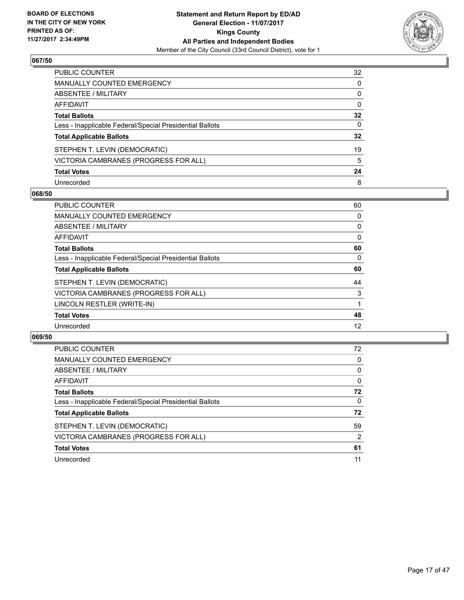

| PUBLIC COUNTER                                           | 32 |
|----------------------------------------------------------|----|
| <b>MANUALLY COUNTED EMERGENCY</b>                        | 0  |
| ABSENTEE / MILITARY                                      | 0  |
| AFFIDAVIT                                                | 0  |
| <b>Total Ballots</b>                                     | 32 |
| Less - Inapplicable Federal/Special Presidential Ballots | 0  |
| <b>Total Applicable Ballots</b>                          | 32 |
| STEPHEN T. LEVIN (DEMOCRATIC)                            | 19 |
| VICTORIA CAMBRANES (PROGRESS FOR ALL)                    | 5  |
| <b>Total Votes</b>                                       | 24 |
| Unrecorded                                               | 8  |

#### **068/50**

| <b>PUBLIC COUNTER</b>                                    | 60 |
|----------------------------------------------------------|----|
| MANUALLY COUNTED EMERGENCY                               | 0  |
| ABSENTEE / MILITARY                                      | 0  |
| <b>AFFIDAVIT</b>                                         | 0  |
| <b>Total Ballots</b>                                     | 60 |
| Less - Inapplicable Federal/Special Presidential Ballots | 0  |
| <b>Total Applicable Ballots</b>                          | 60 |
| STEPHEN T. LEVIN (DEMOCRATIC)                            | 44 |
| VICTORIA CAMBRANES (PROGRESS FOR ALL)                    | 3  |
| LINCOLN RESTLER (WRITE-IN)                               |    |
| <b>Total Votes</b>                                       | 48 |
| Unrecorded                                               | 12 |

| <b>PUBLIC COUNTER</b>                                    | 72 |
|----------------------------------------------------------|----|
| MANUALLY COUNTED EMERGENCY                               | 0  |
| ABSENTEE / MILITARY                                      | 0  |
| AFFIDAVIT                                                | 0  |
| <b>Total Ballots</b>                                     | 72 |
| Less - Inapplicable Federal/Special Presidential Ballots | 0  |
| <b>Total Applicable Ballots</b>                          | 72 |
| STEPHEN T. LEVIN (DEMOCRATIC)                            | 59 |
| VICTORIA CAMBRANES (PROGRESS FOR ALL)                    | 2  |
| <b>Total Votes</b>                                       | 61 |
| Unrecorded                                               | 11 |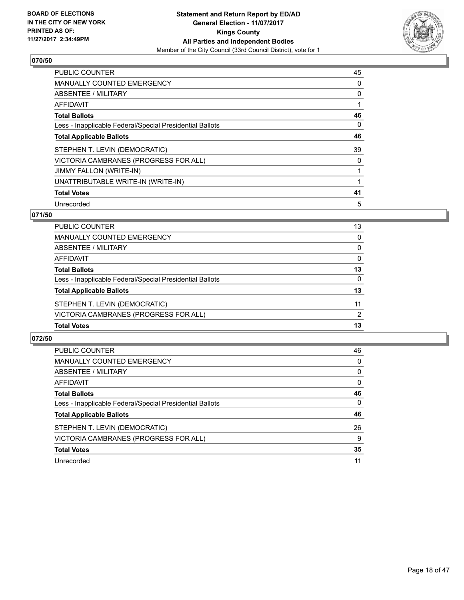

| <b>PUBLIC COUNTER</b>                                    | 45 |
|----------------------------------------------------------|----|
| <b>MANUALLY COUNTED EMERGENCY</b>                        | 0  |
| ABSENTEE / MILITARY                                      | 0  |
| <b>AFFIDAVIT</b>                                         |    |
| <b>Total Ballots</b>                                     | 46 |
| Less - Inapplicable Federal/Special Presidential Ballots | 0  |
| <b>Total Applicable Ballots</b>                          | 46 |
| STEPHEN T. LEVIN (DEMOCRATIC)                            | 39 |
| VICTORIA CAMBRANES (PROGRESS FOR ALL)                    | 0  |
| JIMMY FALLON (WRITE-IN)                                  |    |
| UNATTRIBUTABLE WRITE-IN (WRITE-IN)                       |    |
| <b>Total Votes</b>                                       | 41 |
| Unrecorded                                               | 5  |

# **071/50**

| PUBLIC COUNTER                                           | 13       |
|----------------------------------------------------------|----------|
| MANUALLY COUNTED EMERGENCY                               | $\Omega$ |
| <b>ABSENTEE / MILITARY</b>                               | $\Omega$ |
| AFFIDAVIT                                                | $\Omega$ |
| <b>Total Ballots</b>                                     | 13       |
| Less - Inapplicable Federal/Special Presidential Ballots | 0        |
| <b>Total Applicable Ballots</b>                          | 13       |
| STEPHEN T. LEVIN (DEMOCRATIC)                            | 11       |
| VICTORIA CAMBRANES (PROGRESS FOR ALL)                    | 2        |
| <b>Total Votes</b>                                       | 13       |
|                                                          |          |

| <b>PUBLIC COUNTER</b>                                    | 46 |
|----------------------------------------------------------|----|
| MANUALLY COUNTED EMERGENCY                               | 0  |
| ABSENTEE / MILITARY                                      | 0  |
| AFFIDAVIT                                                | 0  |
| <b>Total Ballots</b>                                     | 46 |
| Less - Inapplicable Federal/Special Presidential Ballots | 0  |
| <b>Total Applicable Ballots</b>                          | 46 |
| STEPHEN T. LEVIN (DEMOCRATIC)                            | 26 |
| VICTORIA CAMBRANES (PROGRESS FOR ALL)                    | 9  |
| <b>Total Votes</b>                                       | 35 |
| Unrecorded                                               | 11 |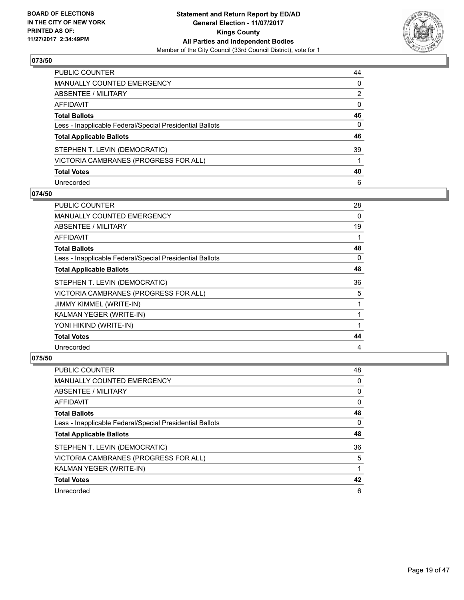

| PUBLIC COUNTER                                           | 44 |
|----------------------------------------------------------|----|
| MANUALLY COUNTED EMERGENCY                               | 0  |
| <b>ABSENTEE / MILITARY</b>                               | 2  |
| AFFIDAVIT                                                | 0  |
| <b>Total Ballots</b>                                     | 46 |
| Less - Inapplicable Federal/Special Presidential Ballots | 0  |
| <b>Total Applicable Ballots</b>                          | 46 |
| STEPHEN T. LEVIN (DEMOCRATIC)                            | 39 |
| VICTORIA CAMBRANES (PROGRESS FOR ALL)                    |    |
| <b>Total Votes</b>                                       | 40 |
| Unrecorded                                               | 6  |

#### **074/50**

| <b>PUBLIC COUNTER</b>                                    | 28 |
|----------------------------------------------------------|----|
| <b>MANUALLY COUNTED EMERGENCY</b>                        | 0  |
| ABSENTEE / MILITARY                                      | 19 |
| <b>AFFIDAVIT</b>                                         |    |
| <b>Total Ballots</b>                                     | 48 |
| Less - Inapplicable Federal/Special Presidential Ballots | 0  |
| <b>Total Applicable Ballots</b>                          | 48 |
| STEPHEN T. LEVIN (DEMOCRATIC)                            | 36 |
| VICTORIA CAMBRANES (PROGRESS FOR ALL)                    | 5  |
| JIMMY KIMMEL (WRITE-IN)                                  |    |
| KALMAN YEGER (WRITE-IN)                                  |    |
| YONI HIKIND (WRITE-IN)                                   |    |
| <b>Total Votes</b>                                       | 44 |
| Unrecorded                                               | 4  |

| <b>PUBLIC COUNTER</b>                                    | 48 |
|----------------------------------------------------------|----|
| <b>MANUALLY COUNTED EMERGENCY</b>                        | 0  |
| ABSENTEE / MILITARY                                      | 0  |
| AFFIDAVIT                                                | 0  |
| <b>Total Ballots</b>                                     | 48 |
| Less - Inapplicable Federal/Special Presidential Ballots | 0  |
| <b>Total Applicable Ballots</b>                          | 48 |
| STEPHEN T. LEVIN (DEMOCRATIC)                            | 36 |
| VICTORIA CAMBRANES (PROGRESS FOR ALL)                    | 5  |
| KALMAN YEGER (WRITE-IN)                                  |    |
| <b>Total Votes</b>                                       | 42 |
| Unrecorded                                               | 6  |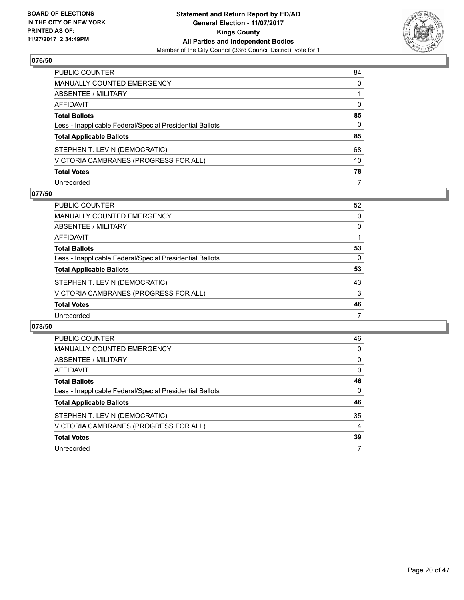

| <b>PUBLIC COUNTER</b>                                    | 84 |
|----------------------------------------------------------|----|
| <b>MANUALLY COUNTED EMERGENCY</b>                        | 0  |
| <b>ABSENTEE / MILITARY</b>                               |    |
| AFFIDAVIT                                                | 0  |
| <b>Total Ballots</b>                                     | 85 |
| Less - Inapplicable Federal/Special Presidential Ballots | 0  |
| <b>Total Applicable Ballots</b>                          | 85 |
| STEPHEN T. LEVIN (DEMOCRATIC)                            | 68 |
| VICTORIA CAMBRANES (PROGRESS FOR ALL)                    | 10 |
| <b>Total Votes</b>                                       | 78 |
| Unrecorded                                               | 7  |

#### **077/50**

| <b>PUBLIC COUNTER</b>                                    | 52 |
|----------------------------------------------------------|----|
| <b>MANUALLY COUNTED EMERGENCY</b>                        | 0  |
| ABSENTEE / MILITARY                                      | 0  |
| AFFIDAVIT                                                |    |
| <b>Total Ballots</b>                                     | 53 |
| Less - Inapplicable Federal/Special Presidential Ballots | 0  |
| <b>Total Applicable Ballots</b>                          | 53 |
| STEPHEN T. LEVIN (DEMOCRATIC)                            | 43 |
| VICTORIA CAMBRANES (PROGRESS FOR ALL)                    | 3  |
| <b>Total Votes</b>                                       | 46 |
| Unrecorded                                               | 7  |

| <b>PUBLIC COUNTER</b>                                    | 46 |
|----------------------------------------------------------|----|
| <b>MANUALLY COUNTED EMERGENCY</b>                        | 0  |
| ABSENTEE / MILITARY                                      | 0  |
| <b>AFFIDAVIT</b>                                         | 0  |
| <b>Total Ballots</b>                                     | 46 |
| Less - Inapplicable Federal/Special Presidential Ballots | 0  |
| <b>Total Applicable Ballots</b>                          | 46 |
| STEPHEN T. LEVIN (DEMOCRATIC)                            | 35 |
| VICTORIA CAMBRANES (PROGRESS FOR ALL)                    | 4  |
| <b>Total Votes</b>                                       | 39 |
| Unrecorded                                               | 7  |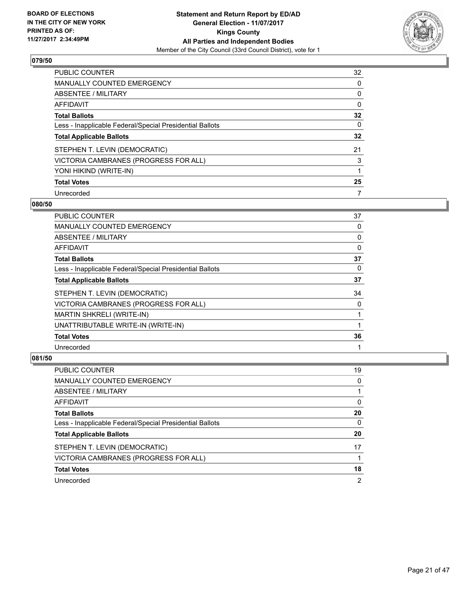

| <b>PUBLIC COUNTER</b>                                    | 32 |
|----------------------------------------------------------|----|
| <b>MANUALLY COUNTED EMERGENCY</b>                        | 0  |
| ABSENTEE / MILITARY                                      | 0  |
| AFFIDAVIT                                                | 0  |
| <b>Total Ballots</b>                                     | 32 |
| Less - Inapplicable Federal/Special Presidential Ballots | 0  |
| <b>Total Applicable Ballots</b>                          | 32 |
| STEPHEN T. LEVIN (DEMOCRATIC)                            | 21 |
| VICTORIA CAMBRANES (PROGRESS FOR ALL)                    | 3  |
| YONI HIKIND (WRITE-IN)                                   |    |
| <b>Total Votes</b>                                       | 25 |
| Unrecorded                                               |    |

#### **080/50**

| <b>PUBLIC COUNTER</b>                                    | 37 |
|----------------------------------------------------------|----|
| <b>MANUALLY COUNTED EMERGENCY</b>                        | 0  |
| ABSENTEE / MILITARY                                      | 0  |
| AFFIDAVIT                                                | 0  |
| <b>Total Ballots</b>                                     | 37 |
| Less - Inapplicable Federal/Special Presidential Ballots | 0  |
| <b>Total Applicable Ballots</b>                          | 37 |
| STEPHEN T. LEVIN (DEMOCRATIC)                            | 34 |
| VICTORIA CAMBRANES (PROGRESS FOR ALL)                    | 0  |
| MARTIN SHKRELI (WRITE-IN)                                |    |
| UNATTRIBUTABLE WRITE-IN (WRITE-IN)                       |    |
| <b>Total Votes</b>                                       | 36 |
| Unrecorded                                               |    |

| PUBLIC COUNTER                                           | 19 |
|----------------------------------------------------------|----|
| MANUALLY COUNTED EMERGENCY                               | 0  |
| ABSENTEE / MILITARY                                      |    |
| AFFIDAVIT                                                | 0  |
| <b>Total Ballots</b>                                     | 20 |
| Less - Inapplicable Federal/Special Presidential Ballots | 0  |
| <b>Total Applicable Ballots</b>                          | 20 |
| STEPHEN T. LEVIN (DEMOCRATIC)                            | 17 |
| VICTORIA CAMBRANES (PROGRESS FOR ALL)                    |    |
| <b>Total Votes</b>                                       | 18 |
| Unrecorded                                               | 2  |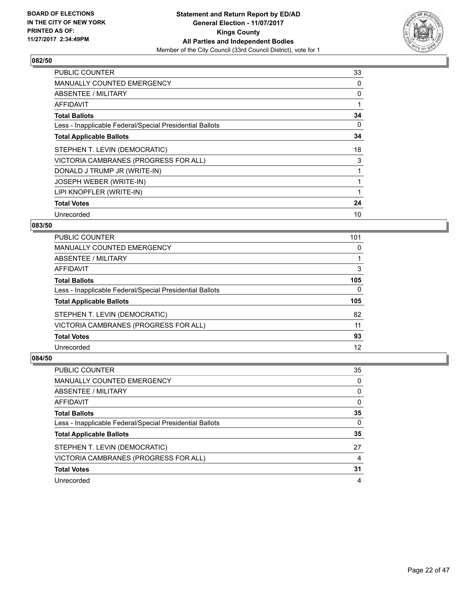

| <b>PUBLIC COUNTER</b>                                    | 33 |
|----------------------------------------------------------|----|
| <b>MANUALLY COUNTED EMERGENCY</b>                        | 0  |
| <b>ABSENTEE / MILITARY</b>                               | 0  |
| <b>AFFIDAVIT</b>                                         |    |
| <b>Total Ballots</b>                                     | 34 |
| Less - Inapplicable Federal/Special Presidential Ballots | 0  |
| <b>Total Applicable Ballots</b>                          | 34 |
| STEPHEN T. LEVIN (DEMOCRATIC)                            | 18 |
| VICTORIA CAMBRANES (PROGRESS FOR ALL)                    | 3  |
| DONALD J TRUMP JR (WRITE-IN)                             |    |
| JOSEPH WEBER (WRITE-IN)                                  |    |
| LIPI KNOPFLER (WRITE-IN)                                 |    |
| <b>Total Votes</b>                                       | 24 |
| Unrecorded                                               | 10 |

# **083/50**

| PUBLIC COUNTER                                           | 101 |
|----------------------------------------------------------|-----|
| MANUALLY COUNTED EMERGENCY                               | 0   |
| ABSENTEE / MILITARY                                      |     |
| AFFIDAVIT                                                | 3   |
| <b>Total Ballots</b>                                     | 105 |
| Less - Inapplicable Federal/Special Presidential Ballots | 0   |
| <b>Total Applicable Ballots</b>                          | 105 |
| STEPHEN T. LEVIN (DEMOCRATIC)                            | 82  |
| VICTORIA CAMBRANES (PROGRESS FOR ALL)                    | 11  |
| <b>Total Votes</b>                                       | 93  |
| Unrecorded                                               | 12  |

| <b>PUBLIC COUNTER</b>                                    | 35 |
|----------------------------------------------------------|----|
| <b>MANUALLY COUNTED EMERGENCY</b>                        | 0  |
| ABSENTEE / MILITARY                                      | 0  |
| AFFIDAVIT                                                | 0  |
| <b>Total Ballots</b>                                     | 35 |
| Less - Inapplicable Federal/Special Presidential Ballots | 0  |
| <b>Total Applicable Ballots</b>                          | 35 |
| STEPHEN T. LEVIN (DEMOCRATIC)                            | 27 |
| VICTORIA CAMBRANES (PROGRESS FOR ALL)                    | 4  |
| <b>Total Votes</b>                                       | 31 |
| Unrecorded                                               | 4  |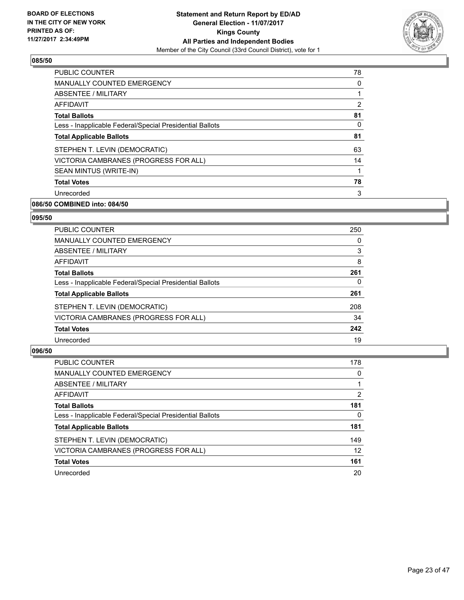

| <b>PUBLIC COUNTER</b>                                    | 78             |
|----------------------------------------------------------|----------------|
| <b>MANUALLY COUNTED EMERGENCY</b>                        | 0              |
| ABSENTEE / MILITARY                                      |                |
| <b>AFFIDAVIT</b>                                         | $\overline{2}$ |
| <b>Total Ballots</b>                                     | 81             |
| Less - Inapplicable Federal/Special Presidential Ballots | 0              |
| <b>Total Applicable Ballots</b>                          | 81             |
| STEPHEN T. LEVIN (DEMOCRATIC)                            | 63             |
| VICTORIA CAMBRANES (PROGRESS FOR ALL)                    | 14             |
| SEAN MINTUS (WRITE-IN)                                   |                |
| <b>Total Votes</b>                                       | 78             |
| Unrecorded                                               | 3              |

# **086/50 COMBINED into: 084/50**

#### **095/50**

| <b>PUBLIC COUNTER</b>                                    | 250 |
|----------------------------------------------------------|-----|
| <b>MANUALLY COUNTED EMERGENCY</b>                        | 0   |
| ABSENTEE / MILITARY                                      | 3   |
| AFFIDAVIT                                                | 8   |
| <b>Total Ballots</b>                                     | 261 |
| Less - Inapplicable Federal/Special Presidential Ballots | 0   |
| <b>Total Applicable Ballots</b>                          | 261 |
| STEPHEN T. LEVIN (DEMOCRATIC)                            | 208 |
| VICTORIA CAMBRANES (PROGRESS FOR ALL)                    | 34  |
| <b>Total Votes</b>                                       | 242 |
| Unrecorded                                               | 19  |

| <b>PUBLIC COUNTER</b>                                    | 178 |
|----------------------------------------------------------|-----|
| MANUALLY COUNTED EMERGENCY                               | 0   |
| ABSENTEE / MILITARY                                      |     |
| AFFIDAVIT                                                | 2   |
| <b>Total Ballots</b>                                     | 181 |
| Less - Inapplicable Federal/Special Presidential Ballots | 0   |
| <b>Total Applicable Ballots</b>                          | 181 |
| STEPHEN T. LEVIN (DEMOCRATIC)                            | 149 |
| VICTORIA CAMBRANES (PROGRESS FOR ALL)                    | 12  |
| <b>Total Votes</b>                                       | 161 |
| Unrecorded                                               | 20  |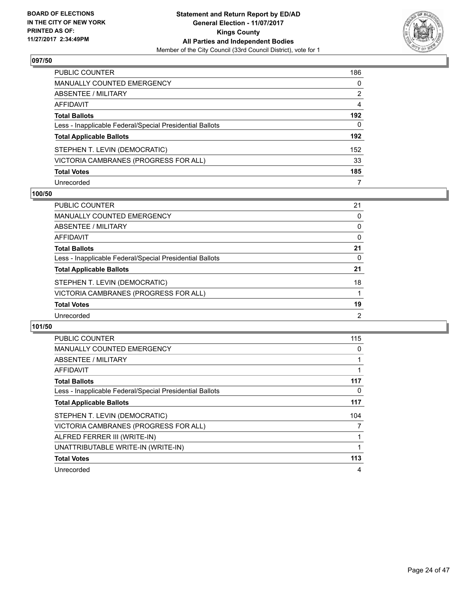

| <b>PUBLIC COUNTER</b>                                    | 186 |
|----------------------------------------------------------|-----|
| <b>MANUALLY COUNTED EMERGENCY</b>                        | 0   |
| ABSENTEE / MILITARY                                      | 2   |
| <b>AFFIDAVIT</b>                                         | 4   |
| <b>Total Ballots</b>                                     | 192 |
| Less - Inapplicable Federal/Special Presidential Ballots | 0   |
| <b>Total Applicable Ballots</b>                          | 192 |
| STEPHEN T. LEVIN (DEMOCRATIC)                            | 152 |
| VICTORIA CAMBRANES (PROGRESS FOR ALL)                    | 33  |
| <b>Total Votes</b>                                       | 185 |
| Unrecorded                                               | 7   |

#### **100/50**

| <b>PUBLIC COUNTER</b>                                    | 21 |
|----------------------------------------------------------|----|
| <b>MANUALLY COUNTED EMERGENCY</b>                        | 0  |
| ABSENTEE / MILITARY                                      | 0  |
| AFFIDAVIT                                                | 0  |
| <b>Total Ballots</b>                                     | 21 |
| Less - Inapplicable Federal/Special Presidential Ballots | 0  |
| <b>Total Applicable Ballots</b>                          | 21 |
| STEPHEN T. LEVIN (DEMOCRATIC)                            | 18 |
| VICTORIA CAMBRANES (PROGRESS FOR ALL)                    |    |
| <b>Total Votes</b>                                       | 19 |
| Unrecorded                                               | 2  |

| <b>PUBLIC COUNTER</b>                                    | 115 |
|----------------------------------------------------------|-----|
| <b>MANUALLY COUNTED EMERGENCY</b>                        | 0   |
| ABSENTEE / MILITARY                                      | 1   |
| AFFIDAVIT                                                | 1   |
| <b>Total Ballots</b>                                     | 117 |
| Less - Inapplicable Federal/Special Presidential Ballots | 0   |
| <b>Total Applicable Ballots</b>                          | 117 |
| STEPHEN T. LEVIN (DEMOCRATIC)                            | 104 |
| VICTORIA CAMBRANES (PROGRESS FOR ALL)                    | 7   |
| ALFRED FERRER III (WRITE-IN)                             |     |
| UNATTRIBUTABLE WRITE-IN (WRITE-IN)                       | 1   |
| <b>Total Votes</b>                                       | 113 |
| Unrecorded                                               | 4   |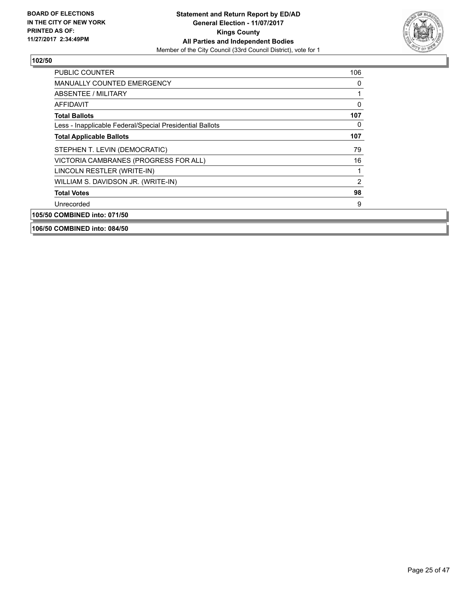

| <b>PUBLIC COUNTER</b>                                    | 106            |
|----------------------------------------------------------|----------------|
| <b>MANUALLY COUNTED EMERGENCY</b>                        | 0              |
| ABSENTEE / MILITARY                                      |                |
| <b>AFFIDAVIT</b>                                         | $\mathbf{0}$   |
| <b>Total Ballots</b>                                     | 107            |
| Less - Inapplicable Federal/Special Presidential Ballots | 0              |
| <b>Total Applicable Ballots</b>                          | 107            |
| STEPHEN T. LEVIN (DEMOCRATIC)                            | 79             |
| VICTORIA CAMBRANES (PROGRESS FOR ALL)                    | 16             |
| LINCOLN RESTLER (WRITE-IN)                               |                |
| WILLIAM S. DAVIDSON JR. (WRITE-IN)                       | $\overline{2}$ |
| <b>Total Votes</b>                                       | 98             |
| Unrecorded                                               | 9              |
| 105/50 COMBINED into: 071/50                             |                |
| 106/50 COMBINED into: 084/50                             |                |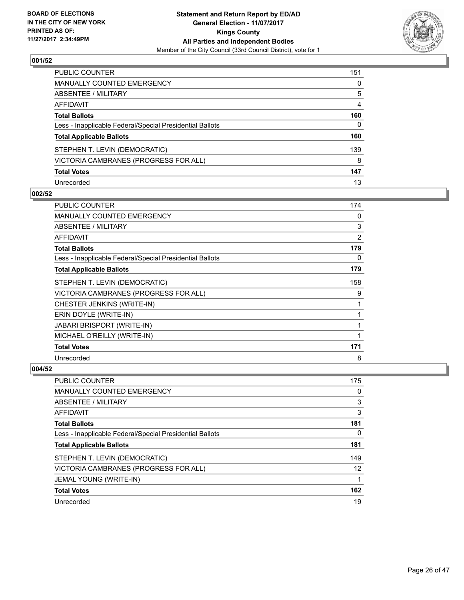

| <b>PUBLIC COUNTER</b>                                    | 151 |
|----------------------------------------------------------|-----|
| <b>MANUALLY COUNTED EMERGENCY</b>                        | 0   |
| <b>ABSENTEE / MILITARY</b>                               | 5   |
| <b>AFFIDAVIT</b>                                         | 4   |
| <b>Total Ballots</b>                                     | 160 |
| Less - Inapplicable Federal/Special Presidential Ballots | 0   |
| <b>Total Applicable Ballots</b>                          | 160 |
| STEPHEN T. LEVIN (DEMOCRATIC)                            | 139 |
| VICTORIA CAMBRANES (PROGRESS FOR ALL)                    | 8   |
| <b>Total Votes</b>                                       | 147 |
| Unrecorded                                               | 13  |

## **002/52**

| <b>PUBLIC COUNTER</b>                                    | 174 |
|----------------------------------------------------------|-----|
| <b>MANUALLY COUNTED EMERGENCY</b>                        | 0   |
| ABSENTEE / MILITARY                                      | 3   |
| AFFIDAVIT                                                | 2   |
| <b>Total Ballots</b>                                     | 179 |
| Less - Inapplicable Federal/Special Presidential Ballots | 0   |
| <b>Total Applicable Ballots</b>                          | 179 |
| STEPHEN T. LEVIN (DEMOCRATIC)                            | 158 |
| VICTORIA CAMBRANES (PROGRESS FOR ALL)                    | 9   |
| CHESTER JENKINS (WRITE-IN)                               | 1   |
| ERIN DOYLE (WRITE-IN)                                    |     |
| <b>JABARI BRISPORT (WRITE-IN)</b>                        | 1   |
| MICHAEL O'REILLY (WRITE-IN)                              | 1   |
| <b>Total Votes</b>                                       | 171 |
| Unrecorded                                               | 8   |

| <b>PUBLIC COUNTER</b>                                    | 175 |
|----------------------------------------------------------|-----|
| <b>MANUALLY COUNTED EMERGENCY</b>                        | 0   |
| ABSENTEE / MILITARY                                      | 3   |
| AFFIDAVIT                                                | 3   |
| <b>Total Ballots</b>                                     | 181 |
| Less - Inapplicable Federal/Special Presidential Ballots | 0   |
| <b>Total Applicable Ballots</b>                          | 181 |
| STEPHEN T. LEVIN (DEMOCRATIC)                            | 149 |
| VICTORIA CAMBRANES (PROGRESS FOR ALL)                    | 12  |
| JEMAL YOUNG (WRITE-IN)                                   |     |
| <b>Total Votes</b>                                       | 162 |
| Unrecorded                                               | 19  |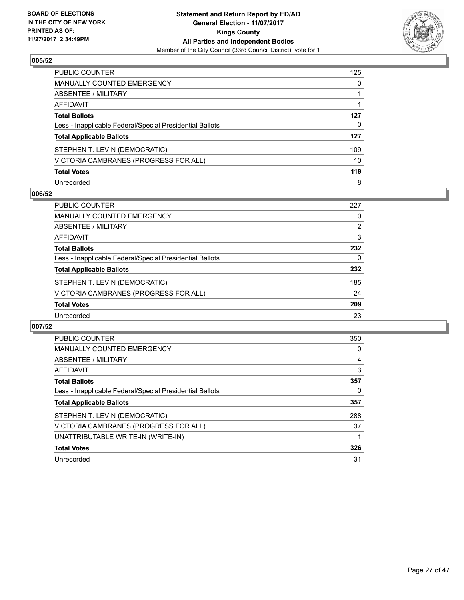

| <b>PUBLIC COUNTER</b>                                    | 125 |
|----------------------------------------------------------|-----|
| <b>MANUALLY COUNTED EMERGENCY</b>                        | 0   |
| ABSENTEE / MILITARY                                      |     |
| <b>AFFIDAVIT</b>                                         |     |
| <b>Total Ballots</b>                                     | 127 |
| Less - Inapplicable Federal/Special Presidential Ballots | 0   |
| <b>Total Applicable Ballots</b>                          | 127 |
| STEPHEN T. LEVIN (DEMOCRATIC)                            | 109 |
| VICTORIA CAMBRANES (PROGRESS FOR ALL)                    | 10  |
| <b>Total Votes</b>                                       | 119 |
| Unrecorded                                               | 8   |

#### **006/52**

| <b>PUBLIC COUNTER</b>                                    | 227            |
|----------------------------------------------------------|----------------|
| MANUALLY COUNTED EMERGENCY                               | 0              |
| ABSENTEE / MILITARY                                      | $\overline{2}$ |
| AFFIDAVIT                                                | 3              |
| <b>Total Ballots</b>                                     | 232            |
| Less - Inapplicable Federal/Special Presidential Ballots | 0              |
| <b>Total Applicable Ballots</b>                          | 232            |
| STEPHEN T. LEVIN (DEMOCRATIC)                            | 185            |
| VICTORIA CAMBRANES (PROGRESS FOR ALL)                    | 24             |
| <b>Total Votes</b>                                       | 209            |
| Unrecorded                                               | 23             |

| <b>PUBLIC COUNTER</b>                                    | 350 |
|----------------------------------------------------------|-----|
| <b>MANUALLY COUNTED EMERGENCY</b>                        | 0   |
| ABSENTEE / MILITARY                                      | 4   |
| AFFIDAVIT                                                | 3   |
| <b>Total Ballots</b>                                     | 357 |
| Less - Inapplicable Federal/Special Presidential Ballots | 0   |
| <b>Total Applicable Ballots</b>                          | 357 |
| STEPHEN T. LEVIN (DEMOCRATIC)                            | 288 |
| VICTORIA CAMBRANES (PROGRESS FOR ALL)                    | 37  |
| UNATTRIBUTABLE WRITE-IN (WRITE-IN)                       |     |
| <b>Total Votes</b>                                       | 326 |
| Unrecorded                                               | 31  |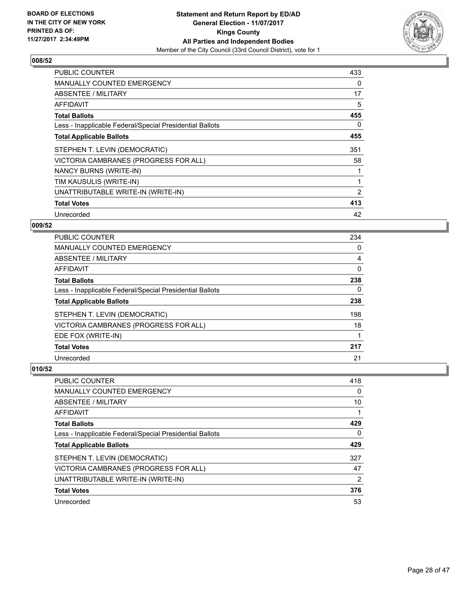

| <b>PUBLIC COUNTER</b>                                    | 433 |
|----------------------------------------------------------|-----|
| <b>MANUALLY COUNTED EMERGENCY</b>                        | 0   |
| <b>ABSENTEE / MILITARY</b>                               | 17  |
| AFFIDAVIT                                                | 5   |
| <b>Total Ballots</b>                                     | 455 |
| Less - Inapplicable Federal/Special Presidential Ballots | 0   |
| <b>Total Applicable Ballots</b>                          | 455 |
| STEPHEN T. LEVIN (DEMOCRATIC)                            | 351 |
| VICTORIA CAMBRANES (PROGRESS FOR ALL)                    | 58  |
| NANCY BURNS (WRITE-IN)                                   |     |
| TIM KAUSULIS (WRITE-IN)                                  |     |
| UNATTRIBUTABLE WRITE-IN (WRITE-IN)                       | 2   |
| <b>Total Votes</b>                                       | 413 |
| Unrecorded                                               | 42  |

# **009/52**

| <b>PUBLIC COUNTER</b>                                    | 234 |
|----------------------------------------------------------|-----|
| <b>MANUALLY COUNTED EMERGENCY</b>                        | 0   |
| ABSENTEE / MILITARY                                      | 4   |
| <b>AFFIDAVIT</b>                                         | 0   |
| <b>Total Ballots</b>                                     | 238 |
| Less - Inapplicable Federal/Special Presidential Ballots | 0   |
| <b>Total Applicable Ballots</b>                          | 238 |
| STEPHEN T. LEVIN (DEMOCRATIC)                            | 198 |
| VICTORIA CAMBRANES (PROGRESS FOR ALL)                    | 18  |
| EDE FOX (WRITE-IN)                                       |     |
| <b>Total Votes</b>                                       | 217 |
| Unrecorded                                               | 21  |

| PUBLIC COUNTER                                           | 418 |
|----------------------------------------------------------|-----|
| <b>MANUALLY COUNTED EMERGENCY</b>                        | 0   |
| ABSENTEE / MILITARY                                      | 10  |
| AFFIDAVIT                                                |     |
| <b>Total Ballots</b>                                     | 429 |
| Less - Inapplicable Federal/Special Presidential Ballots | 0   |
| <b>Total Applicable Ballots</b>                          | 429 |
| STEPHEN T. LEVIN (DEMOCRATIC)                            | 327 |
| VICTORIA CAMBRANES (PROGRESS FOR ALL)                    | 47  |
| UNATTRIBUTABLE WRITE-IN (WRITE-IN)                       | 2   |
| <b>Total Votes</b>                                       | 376 |
| Unrecorded                                               | 53  |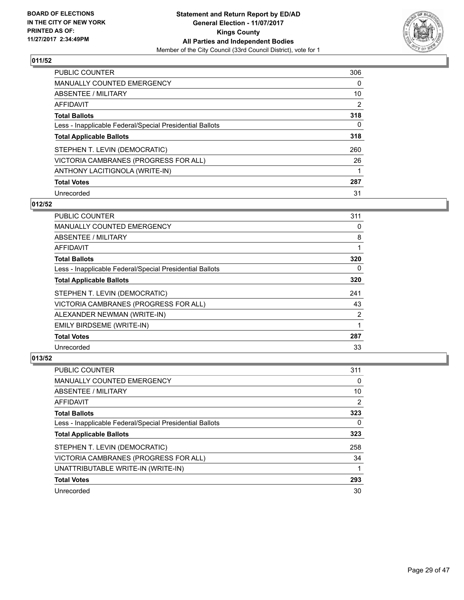

| PUBLIC COUNTER                                           | 306                   |
|----------------------------------------------------------|-----------------------|
| <b>MANUALLY COUNTED EMERGENCY</b>                        | 0                     |
| ABSENTEE / MILITARY                                      | 10                    |
| AFFIDAVIT                                                | $\mathbf{2}^{\prime}$ |
| <b>Total Ballots</b>                                     | 318                   |
| Less - Inapplicable Federal/Special Presidential Ballots | 0                     |
| <b>Total Applicable Ballots</b>                          | 318                   |
| STEPHEN T. LEVIN (DEMOCRATIC)                            | 260                   |
| VICTORIA CAMBRANES (PROGRESS FOR ALL)                    | 26                    |
| ANTHONY LACITIGNOLA (WRITE-IN)                           |                       |
| <b>Total Votes</b>                                       | 287                   |
| Unrecorded                                               | 31                    |

### **012/52**

| <b>PUBLIC COUNTER</b>                                    | 311 |
|----------------------------------------------------------|-----|
| <b>MANUALLY COUNTED EMERGENCY</b>                        | 0   |
| ABSENTEE / MILITARY                                      | 8   |
| AFFIDAVIT                                                |     |
| <b>Total Ballots</b>                                     | 320 |
| Less - Inapplicable Federal/Special Presidential Ballots | 0   |
| <b>Total Applicable Ballots</b>                          | 320 |
| STEPHEN T. LEVIN (DEMOCRATIC)                            | 241 |
| VICTORIA CAMBRANES (PROGRESS FOR ALL)                    | 43  |
| ALEXANDER NEWMAN (WRITE-IN)                              | 2   |
| EMILY BIRDSEME (WRITE-IN)                                |     |
| <b>Total Votes</b>                                       | 287 |
| Unrecorded                                               | 33  |

| <b>PUBLIC COUNTER</b>                                    | 311 |
|----------------------------------------------------------|-----|
| <b>MANUALLY COUNTED EMERGENCY</b>                        | 0   |
| ABSENTEE / MILITARY                                      | 10  |
| AFFIDAVIT                                                | 2   |
| <b>Total Ballots</b>                                     | 323 |
| Less - Inapplicable Federal/Special Presidential Ballots | 0   |
| <b>Total Applicable Ballots</b>                          | 323 |
| STEPHEN T. LEVIN (DEMOCRATIC)                            | 258 |
| VICTORIA CAMBRANES (PROGRESS FOR ALL)                    | 34  |
| UNATTRIBUTABLE WRITE-IN (WRITE-IN)                       |     |
| <b>Total Votes</b>                                       | 293 |
| Unrecorded                                               | 30  |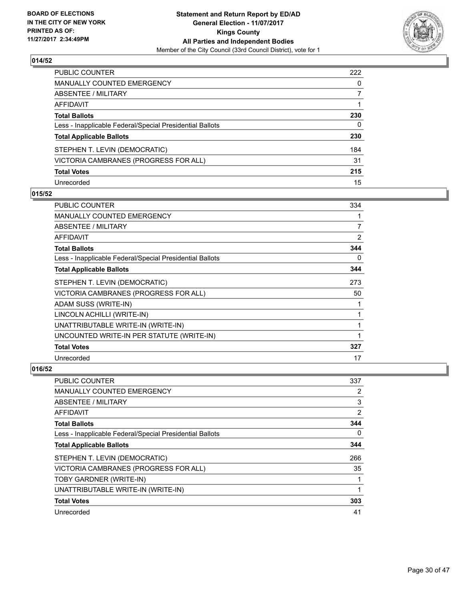

| PUBLIC COUNTER                                           | 222 |
|----------------------------------------------------------|-----|
| <b>MANUALLY COUNTED EMERGENCY</b>                        | 0   |
| <b>ABSENTEE / MILITARY</b>                               |     |
| <b>AFFIDAVIT</b>                                         |     |
| <b>Total Ballots</b>                                     | 230 |
| Less - Inapplicable Federal/Special Presidential Ballots | 0   |
| <b>Total Applicable Ballots</b>                          | 230 |
| STEPHEN T. LEVIN (DEMOCRATIC)                            | 184 |
| VICTORIA CAMBRANES (PROGRESS FOR ALL)                    | 31  |
| <b>Total Votes</b>                                       | 215 |
| Unrecorded                                               | 15  |

#### **015/52**

| <b>PUBLIC COUNTER</b>                                    | 334 |
|----------------------------------------------------------|-----|
| <b>MANUALLY COUNTED EMERGENCY</b>                        | 1   |
| <b>ABSENTEE / MILITARY</b>                               | 7   |
| <b>AFFIDAVIT</b>                                         | 2   |
| <b>Total Ballots</b>                                     | 344 |
| Less - Inapplicable Federal/Special Presidential Ballots | 0   |
| <b>Total Applicable Ballots</b>                          | 344 |
| STEPHEN T. LEVIN (DEMOCRATIC)                            | 273 |
| VICTORIA CAMBRANES (PROGRESS FOR ALL)                    | 50  |
| ADAM SUSS (WRITE-IN)                                     |     |
| LINCOLN ACHILLI (WRITE-IN)                               | 1   |
| UNATTRIBUTABLE WRITE-IN (WRITE-IN)                       | 1   |
| UNCOUNTED WRITE-IN PER STATUTE (WRITE-IN)                | 1   |
| <b>Total Votes</b>                                       | 327 |
| Unrecorded                                               | 17  |

| <b>PUBLIC COUNTER</b>                                    | 337            |
|----------------------------------------------------------|----------------|
| <b>MANUALLY COUNTED EMERGENCY</b>                        | 2              |
| ABSENTEE / MILITARY                                      | 3              |
| AFFIDAVIT                                                | $\overline{2}$ |
| <b>Total Ballots</b>                                     | 344            |
| Less - Inapplicable Federal/Special Presidential Ballots | 0              |
| <b>Total Applicable Ballots</b>                          | 344            |
| STEPHEN T. LEVIN (DEMOCRATIC)                            | 266            |
| VICTORIA CAMBRANES (PROGRESS FOR ALL)                    | 35             |
| TOBY GARDNER (WRITE-IN)                                  | 1              |
| UNATTRIBUTABLE WRITE-IN (WRITE-IN)                       | 1              |
| <b>Total Votes</b>                                       | 303            |
| Unrecorded                                               | 41             |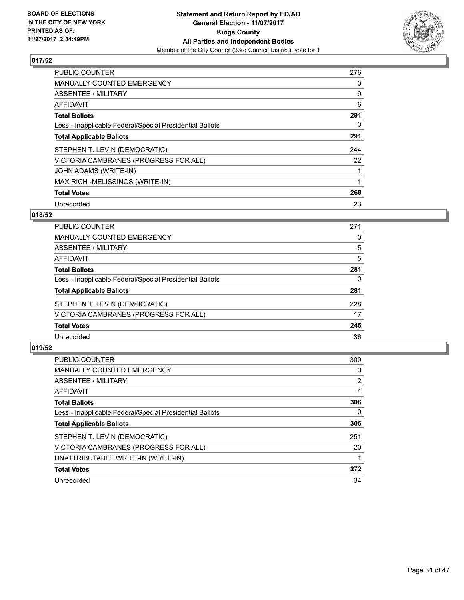

| <b>PUBLIC COUNTER</b>                                    | 276 |
|----------------------------------------------------------|-----|
| <b>MANUALLY COUNTED EMERGENCY</b>                        | 0   |
| ABSENTEE / MILITARY                                      | 9   |
| AFFIDAVIT                                                | 6   |
| <b>Total Ballots</b>                                     | 291 |
| Less - Inapplicable Federal/Special Presidential Ballots | 0   |
| <b>Total Applicable Ballots</b>                          | 291 |
| STEPHEN T. LEVIN (DEMOCRATIC)                            | 244 |
| VICTORIA CAMBRANES (PROGRESS FOR ALL)                    | 22  |
| JOHN ADAMS (WRITE-IN)                                    |     |
| MAX RICH -MELISSINOS (WRITE-IN)                          |     |
| <b>Total Votes</b>                                       | 268 |
| Unrecorded                                               | 23  |

# **018/52**

| PUBLIC COUNTER                                           | 271 |
|----------------------------------------------------------|-----|
| <b>MANUALLY COUNTED EMERGENCY</b>                        | 0   |
| ABSENTEE / MILITARY                                      | 5   |
| AFFIDAVIT                                                | 5   |
| <b>Total Ballots</b>                                     | 281 |
| Less - Inapplicable Federal/Special Presidential Ballots | 0   |
| <b>Total Applicable Ballots</b>                          | 281 |
| STEPHEN T. LEVIN (DEMOCRATIC)                            | 228 |
| VICTORIA CAMBRANES (PROGRESS FOR ALL)                    | 17  |
| <b>Total Votes</b>                                       | 245 |
| Unrecorded                                               | 36  |

| <b>PUBLIC COUNTER</b>                                    | 300            |
|----------------------------------------------------------|----------------|
| <b>MANUALLY COUNTED EMERGENCY</b>                        | 0              |
| ABSENTEE / MILITARY                                      | $\overline{2}$ |
| AFFIDAVIT                                                | 4              |
| <b>Total Ballots</b>                                     | 306            |
| Less - Inapplicable Federal/Special Presidential Ballots | 0              |
| <b>Total Applicable Ballots</b>                          | 306            |
| STEPHEN T. LEVIN (DEMOCRATIC)                            | 251            |
| VICTORIA CAMBRANES (PROGRESS FOR ALL)                    | 20             |
| UNATTRIBUTABLE WRITE-IN (WRITE-IN)                       |                |
| <b>Total Votes</b>                                       | 272            |
| Unrecorded                                               | 34             |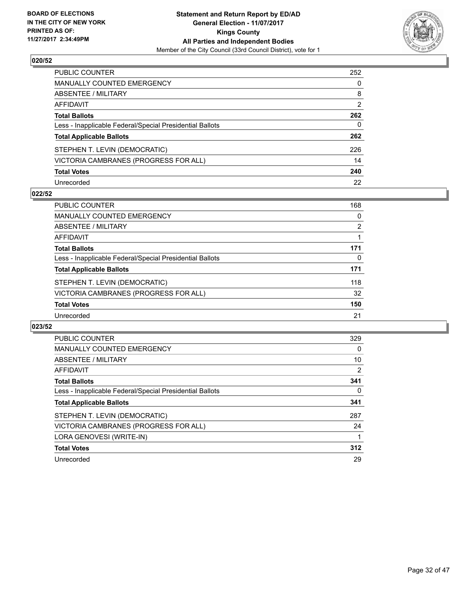

| <b>PUBLIC COUNTER</b>                                    | 252          |
|----------------------------------------------------------|--------------|
| MANUALLY COUNTED EMERGENCY                               | $\mathbf{0}$ |
| ABSENTEE / MILITARY                                      | 8            |
| <b>AFFIDAVIT</b>                                         | 2            |
| <b>Total Ballots</b>                                     | 262          |
| Less - Inapplicable Federal/Special Presidential Ballots | $\mathbf{0}$ |
| <b>Total Applicable Ballots</b>                          | 262          |
| STEPHEN T. LEVIN (DEMOCRATIC)                            | 226          |
| VICTORIA CAMBRANES (PROGRESS FOR ALL)                    | 14           |
| <b>Total Votes</b>                                       | 240          |
| Unrecorded                                               | 22           |

#### **022/52**

| <b>PUBLIC COUNTER</b>                                    | 168 |
|----------------------------------------------------------|-----|
| <b>MANUALLY COUNTED EMERGENCY</b>                        | 0   |
| ABSENTEE / MILITARY                                      | 2   |
| AFFIDAVIT                                                |     |
| <b>Total Ballots</b>                                     | 171 |
| Less - Inapplicable Federal/Special Presidential Ballots | 0   |
| <b>Total Applicable Ballots</b>                          | 171 |
| STEPHEN T. LEVIN (DEMOCRATIC)                            | 118 |
| VICTORIA CAMBRANES (PROGRESS FOR ALL)                    | 32  |
| <b>Total Votes</b>                                       | 150 |
| Unrecorded                                               | 21  |

| <b>PUBLIC COUNTER</b>                                    | 329 |
|----------------------------------------------------------|-----|
| <b>MANUALLY COUNTED EMERGENCY</b>                        | 0   |
| ABSENTEE / MILITARY                                      | 10  |
| AFFIDAVIT                                                | 2   |
| <b>Total Ballots</b>                                     | 341 |
| Less - Inapplicable Federal/Special Presidential Ballots | 0   |
| <b>Total Applicable Ballots</b>                          | 341 |
| STEPHEN T. LEVIN (DEMOCRATIC)                            | 287 |
| VICTORIA CAMBRANES (PROGRESS FOR ALL)                    | 24  |
| LORA GENOVESI (WRITE-IN)                                 |     |
|                                                          |     |
| <b>Total Votes</b>                                       | 312 |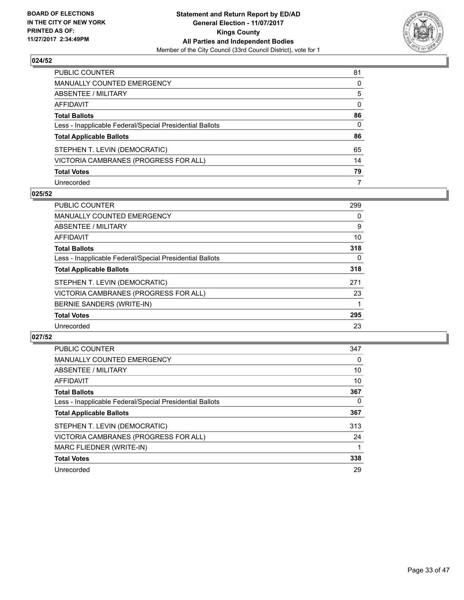

| PUBLIC COUNTER                                           | 81 |
|----------------------------------------------------------|----|
| <b>MANUALLY COUNTED EMERGENCY</b>                        | 0  |
| ABSENTEE / MILITARY                                      | 5  |
| AFFIDAVIT                                                | 0  |
| <b>Total Ballots</b>                                     | 86 |
| Less - Inapplicable Federal/Special Presidential Ballots | 0  |
| <b>Total Applicable Ballots</b>                          | 86 |
| STEPHEN T. LEVIN (DEMOCRATIC)                            | 65 |
| VICTORIA CAMBRANES (PROGRESS FOR ALL)                    | 14 |
| <b>Total Votes</b>                                       | 79 |
| Unrecorded                                               | 7  |

#### **025/52**

| <b>PUBLIC COUNTER</b>                                    | 299 |
|----------------------------------------------------------|-----|
| <b>MANUALLY COUNTED EMERGENCY</b>                        | 0   |
| ABSENTEE / MILITARY                                      | 9   |
| <b>AFFIDAVIT</b>                                         | 10  |
| <b>Total Ballots</b>                                     | 318 |
| Less - Inapplicable Federal/Special Presidential Ballots | 0   |
| <b>Total Applicable Ballots</b>                          | 318 |
| STEPHEN T. LEVIN (DEMOCRATIC)                            | 271 |
| VICTORIA CAMBRANES (PROGRESS FOR ALL)                    | 23  |
| BERNIE SANDERS (WRITE-IN)                                |     |
| <b>Total Votes</b>                                       | 295 |
| Unrecorded                                               | 23  |

| <b>PUBLIC COUNTER</b>                                    | 347      |
|----------------------------------------------------------|----------|
| MANUALLY COUNTED EMERGENCY                               | 0        |
| ABSENTEE / MILITARY                                      | 10       |
| AFFIDAVIT                                                | 10       |
| <b>Total Ballots</b>                                     | 367      |
| Less - Inapplicable Federal/Special Presidential Ballots | $\Omega$ |
| <b>Total Applicable Ballots</b>                          | 367      |
| STEPHEN T. LEVIN (DEMOCRATIC)                            | 313      |
| VICTORIA CAMBRANES (PROGRESS FOR ALL)                    | 24       |
| MARC FLIEDNER (WRITE-IN)                                 |          |
| <b>Total Votes</b>                                       | 338      |
| Unrecorded                                               | 29       |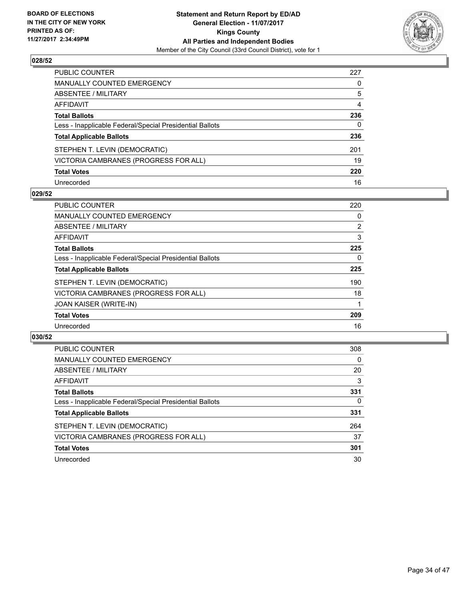

| PUBLIC COUNTER                                           | 227 |
|----------------------------------------------------------|-----|
| <b>MANUALLY COUNTED EMERGENCY</b>                        | 0   |
| <b>ABSENTEE / MILITARY</b>                               | 5   |
| <b>AFFIDAVIT</b>                                         | 4   |
| <b>Total Ballots</b>                                     | 236 |
| Less - Inapplicable Federal/Special Presidential Ballots | 0   |
| <b>Total Applicable Ballots</b>                          | 236 |
| STEPHEN T. LEVIN (DEMOCRATIC)                            | 201 |
| VICTORIA CAMBRANES (PROGRESS FOR ALL)                    | 19  |
| <b>Total Votes</b>                                       | 220 |
| Unrecorded                                               | 16  |

#### **029/52**

| <b>PUBLIC COUNTER</b>                                    | 220            |
|----------------------------------------------------------|----------------|
| <b>MANUALLY COUNTED EMERGENCY</b>                        | 0              |
| ABSENTEE / MILITARY                                      | $\overline{2}$ |
| <b>AFFIDAVIT</b>                                         | 3              |
| <b>Total Ballots</b>                                     | 225            |
| Less - Inapplicable Federal/Special Presidential Ballots | 0              |
| <b>Total Applicable Ballots</b>                          | 225            |
| STEPHEN T. LEVIN (DEMOCRATIC)                            | 190            |
| VICTORIA CAMBRANES (PROGRESS FOR ALL)                    | 18             |
| <b>JOAN KAISER (WRITE-IN)</b>                            |                |
| <b>Total Votes</b>                                       | 209            |
| Unrecorded                                               | 16             |

| <b>PUBLIC COUNTER</b>                                    | 308 |
|----------------------------------------------------------|-----|
| MANUALLY COUNTED EMERGENCY                               | 0   |
| ABSENTEE / MILITARY                                      | 20  |
| AFFIDAVIT                                                | 3   |
| <b>Total Ballots</b>                                     | 331 |
| Less - Inapplicable Federal/Special Presidential Ballots | 0   |
| <b>Total Applicable Ballots</b>                          | 331 |
| STEPHEN T. LEVIN (DEMOCRATIC)                            | 264 |
| VICTORIA CAMBRANES (PROGRESS FOR ALL)                    | 37  |
| <b>Total Votes</b>                                       | 301 |
| Unrecorded                                               | 30  |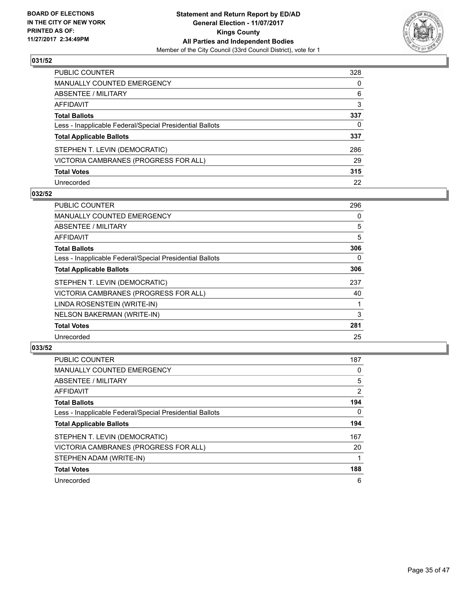

| <b>PUBLIC COUNTER</b>                                    | 328 |
|----------------------------------------------------------|-----|
| <b>MANUALLY COUNTED EMERGENCY</b>                        | 0   |
| <b>ABSENTEE / MILITARY</b>                               | 6   |
| <b>AFFIDAVIT</b>                                         | 3   |
| <b>Total Ballots</b>                                     | 337 |
| Less - Inapplicable Federal/Special Presidential Ballots | 0   |
| <b>Total Applicable Ballots</b>                          | 337 |
| STEPHEN T. LEVIN (DEMOCRATIC)                            | 286 |
| VICTORIA CAMBRANES (PROGRESS FOR ALL)                    | 29  |
| <b>Total Votes</b>                                       | 315 |
| Unrecorded                                               | 22  |

#### **032/52**

| <b>PUBLIC COUNTER</b>                                    | 296 |
|----------------------------------------------------------|-----|
| <b>MANUALLY COUNTED EMERGENCY</b>                        | 0   |
| <b>ABSENTEE / MILITARY</b>                               | 5   |
| AFFIDAVIT                                                | 5   |
| <b>Total Ballots</b>                                     | 306 |
| Less - Inapplicable Federal/Special Presidential Ballots | 0   |
| <b>Total Applicable Ballots</b>                          | 306 |
| STEPHEN T. LEVIN (DEMOCRATIC)                            | 237 |
| VICTORIA CAMBRANES (PROGRESS FOR ALL)                    | 40  |
| LINDA ROSENSTEIN (WRITE-IN)                              |     |
| NELSON BAKERMAN (WRITE-IN)                               | 3   |
| <b>Total Votes</b>                                       | 281 |
| Unrecorded                                               | 25  |

| <b>PUBLIC COUNTER</b>                                    | 187            |
|----------------------------------------------------------|----------------|
| <b>MANUALLY COUNTED EMERGENCY</b>                        | 0              |
| ABSENTEE / MILITARY                                      | 5              |
| <b>AFFIDAVIT</b>                                         | $\overline{2}$ |
| <b>Total Ballots</b>                                     | 194            |
| Less - Inapplicable Federal/Special Presidential Ballots | 0              |
| <b>Total Applicable Ballots</b>                          | 194            |
| STEPHEN T. LEVIN (DEMOCRATIC)                            | 167            |
| VICTORIA CAMBRANES (PROGRESS FOR ALL)                    | 20             |
| STEPHEN ADAM (WRITE-IN)                                  |                |
| <b>Total Votes</b>                                       | 188            |
| Unrecorded                                               | 6              |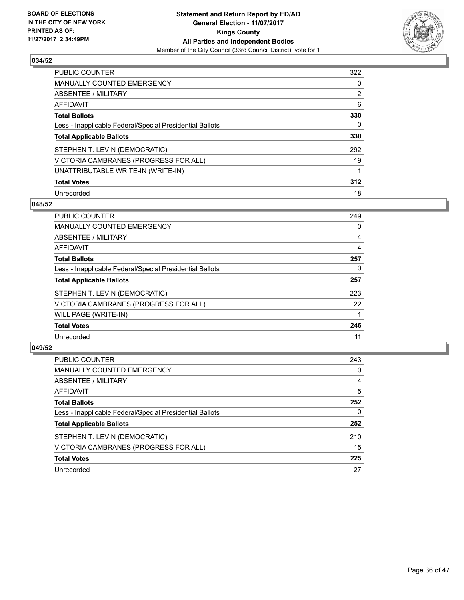

| <b>PUBLIC COUNTER</b>                                    | 322 |
|----------------------------------------------------------|-----|
| <b>MANUALLY COUNTED EMERGENCY</b>                        | 0   |
| ABSENTEE / MILITARY                                      | 2   |
| AFFIDAVIT                                                | 6   |
| <b>Total Ballots</b>                                     | 330 |
| Less - Inapplicable Federal/Special Presidential Ballots | 0   |
| <b>Total Applicable Ballots</b>                          | 330 |
| STEPHEN T. LEVIN (DEMOCRATIC)                            | 292 |
| VICTORIA CAMBRANES (PROGRESS FOR ALL)                    | 19  |
| UNATTRIBUTABLE WRITE-IN (WRITE-IN)                       | 1   |
| <b>Total Votes</b>                                       | 312 |
| Unrecorded                                               | 18  |

#### **048/52**

| <b>PUBLIC COUNTER</b>                                    | 249 |
|----------------------------------------------------------|-----|
| <b>MANUALLY COUNTED EMERGENCY</b>                        | 0   |
| ABSENTEE / MILITARY                                      | 4   |
| <b>AFFIDAVIT</b>                                         | 4   |
| <b>Total Ballots</b>                                     | 257 |
| Less - Inapplicable Federal/Special Presidential Ballots | 0   |
| <b>Total Applicable Ballots</b>                          | 257 |
| STEPHEN T. LEVIN (DEMOCRATIC)                            | 223 |
| VICTORIA CAMBRANES (PROGRESS FOR ALL)                    | 22  |
| WILL PAGE (WRITE-IN)                                     |     |
| <b>Total Votes</b>                                       | 246 |
| Unrecorded                                               | 11  |

| <b>PUBLIC COUNTER</b>                                    | 243 |
|----------------------------------------------------------|-----|
| <b>MANUALLY COUNTED EMERGENCY</b>                        | 0   |
| ABSENTEE / MILITARY                                      | 4   |
| AFFIDAVIT                                                | 5   |
| <b>Total Ballots</b>                                     | 252 |
| Less - Inapplicable Federal/Special Presidential Ballots | 0   |
| <b>Total Applicable Ballots</b>                          | 252 |
| STEPHEN T. LEVIN (DEMOCRATIC)                            | 210 |
| VICTORIA CAMBRANES (PROGRESS FOR ALL)                    | 15  |
| <b>Total Votes</b>                                       | 225 |
| Unrecorded                                               | 27  |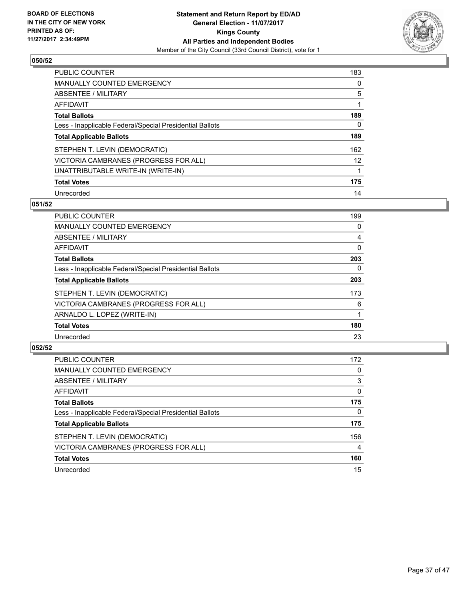

| <b>PUBLIC COUNTER</b>                                    | 183               |
|----------------------------------------------------------|-------------------|
| <b>MANUALLY COUNTED EMERGENCY</b>                        | 0                 |
| ABSENTEE / MILITARY                                      | 5                 |
| AFFIDAVIT                                                |                   |
| <b>Total Ballots</b>                                     | 189               |
| Less - Inapplicable Federal/Special Presidential Ballots | 0                 |
| <b>Total Applicable Ballots</b>                          | 189               |
| STEPHEN T. LEVIN (DEMOCRATIC)                            | 162               |
| VICTORIA CAMBRANES (PROGRESS FOR ALL)                    | $12 \overline{ }$ |
| UNATTRIBUTABLE WRITE-IN (WRITE-IN)                       |                   |
| <b>Total Votes</b>                                       | 175               |
| Unrecorded                                               | 14                |

#### **051/52**

| <b>PUBLIC COUNTER</b>                                    | 199      |
|----------------------------------------------------------|----------|
| <b>MANUALLY COUNTED EMERGENCY</b>                        | 0        |
| ABSENTEE / MILITARY                                      | 4        |
| <b>AFFIDAVIT</b>                                         | 0        |
| <b>Total Ballots</b>                                     | 203      |
| Less - Inapplicable Federal/Special Presidential Ballots | $\Omega$ |
| <b>Total Applicable Ballots</b>                          | 203      |
| STEPHEN T. LEVIN (DEMOCRATIC)                            | 173      |
| VICTORIA CAMBRANES (PROGRESS FOR ALL)                    | 6        |
| ARNALDO L. LOPEZ (WRITE-IN)                              |          |
| <b>Total Votes</b>                                       | 180      |
| Unrecorded                                               | 23       |

| <b>PUBLIC COUNTER</b>                                    | 172 |
|----------------------------------------------------------|-----|
| <b>MANUALLY COUNTED EMERGENCY</b>                        | 0   |
| ABSENTEE / MILITARY                                      | 3   |
| AFFIDAVIT                                                | 0   |
| <b>Total Ballots</b>                                     | 175 |
| Less - Inapplicable Federal/Special Presidential Ballots | 0   |
| <b>Total Applicable Ballots</b>                          | 175 |
| STEPHEN T. LEVIN (DEMOCRATIC)                            | 156 |
| VICTORIA CAMBRANES (PROGRESS FOR ALL)                    | 4   |
| <b>Total Votes</b>                                       | 160 |
| Unrecorded                                               | 15  |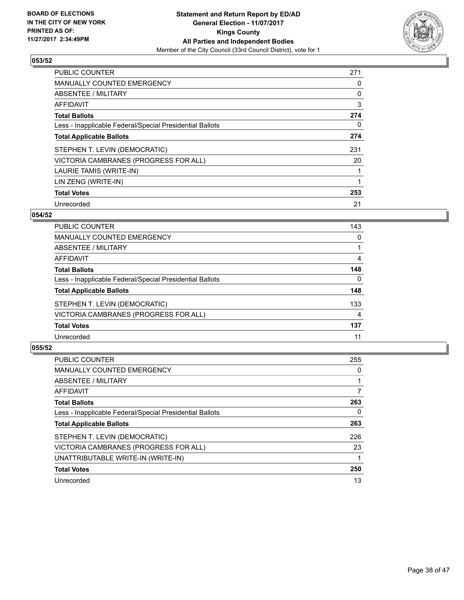

| <b>PUBLIC COUNTER</b>                                    | 271 |
|----------------------------------------------------------|-----|
| MANUALLY COUNTED EMERGENCY                               | 0   |
| ABSENTEE / MILITARY                                      | 0   |
| <b>AFFIDAVIT</b>                                         | 3   |
| <b>Total Ballots</b>                                     | 274 |
| Less - Inapplicable Federal/Special Presidential Ballots | 0   |
| <b>Total Applicable Ballots</b>                          | 274 |
| STEPHEN T. LEVIN (DEMOCRATIC)                            | 231 |
| VICTORIA CAMBRANES (PROGRESS FOR ALL)                    | 20  |
| LAURIE TAMIS (WRITE-IN)                                  | 1   |
| LIN ZENG (WRITE-IN)                                      |     |
| <b>Total Votes</b>                                       | 253 |
| Unrecorded                                               | 21  |

#### **054/52**

| <b>PUBLIC COUNTER</b>                                    | 143 |
|----------------------------------------------------------|-----|
| MANUALLY COUNTED EMERGENCY                               | 0   |
| ABSENTEE / MILITARY                                      |     |
| AFFIDAVIT                                                | 4   |
| <b>Total Ballots</b>                                     | 148 |
| Less - Inapplicable Federal/Special Presidential Ballots | 0   |
| <b>Total Applicable Ballots</b>                          | 148 |
| STEPHEN T. LEVIN (DEMOCRATIC)                            | 133 |
| VICTORIA CAMBRANES (PROGRESS FOR ALL)                    | 4   |
| <b>Total Votes</b>                                       | 137 |
| Unrecorded                                               | 11  |

| PUBLIC COUNTER                                           | 255 |
|----------------------------------------------------------|-----|
| <b>MANUALLY COUNTED EMERGENCY</b>                        | 0   |
| ABSENTEE / MILITARY                                      |     |
| AFFIDAVIT                                                |     |
| <b>Total Ballots</b>                                     | 263 |
| Less - Inapplicable Federal/Special Presidential Ballots | 0   |
| <b>Total Applicable Ballots</b>                          | 263 |
| STEPHEN T. LEVIN (DEMOCRATIC)                            | 226 |
| VICTORIA CAMBRANES (PROGRESS FOR ALL)                    | 23  |
| UNATTRIBUTABLE WRITE-IN (WRITE-IN)                       |     |
| <b>Total Votes</b>                                       | 250 |
| Unrecorded                                               | 13  |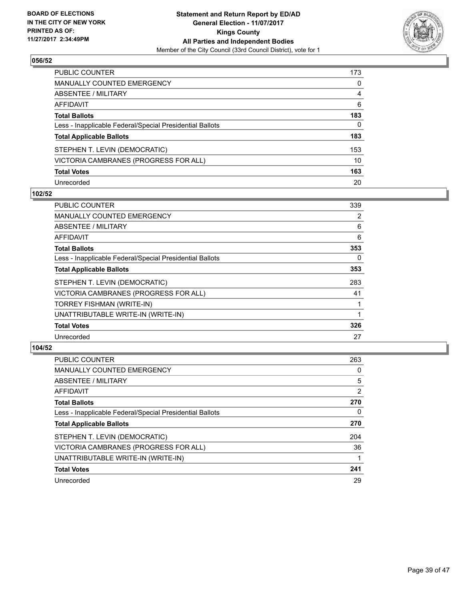

| <b>PUBLIC COUNTER</b>                                    | 173 |
|----------------------------------------------------------|-----|
| <b>MANUALLY COUNTED EMERGENCY</b>                        | 0   |
| ABSENTEE / MILITARY                                      | 4   |
| <b>AFFIDAVIT</b>                                         | 6   |
| <b>Total Ballots</b>                                     | 183 |
| Less - Inapplicable Federal/Special Presidential Ballots | 0   |
| <b>Total Applicable Ballots</b>                          | 183 |
| STEPHEN T. LEVIN (DEMOCRATIC)                            | 153 |
| VICTORIA CAMBRANES (PROGRESS FOR ALL)                    | 10  |
| <b>Total Votes</b>                                       | 163 |
| Unrecorded                                               | 20  |

#### **102/52**

| <b>PUBLIC COUNTER</b>                                    | 339 |
|----------------------------------------------------------|-----|
| <b>MANUALLY COUNTED EMERGENCY</b>                        | 2   |
| <b>ABSENTEE / MILITARY</b>                               | 6   |
| AFFIDAVIT                                                | 6   |
| <b>Total Ballots</b>                                     | 353 |
| Less - Inapplicable Federal/Special Presidential Ballots | 0   |
| <b>Total Applicable Ballots</b>                          | 353 |
| STEPHEN T. LEVIN (DEMOCRATIC)                            | 283 |
| VICTORIA CAMBRANES (PROGRESS FOR ALL)                    | 41  |
| TORREY FISHMAN (WRITE-IN)                                |     |
| UNATTRIBUTABLE WRITE-IN (WRITE-IN)                       |     |
| <b>Total Votes</b>                                       | 326 |
| Unrecorded                                               | 27  |

| <b>PUBLIC COUNTER</b>                                    | 263 |
|----------------------------------------------------------|-----|
| <b>MANUALLY COUNTED EMERGENCY</b>                        | 0   |
| ABSENTEE / MILITARY                                      | 5   |
| AFFIDAVIT                                                | 2   |
| <b>Total Ballots</b>                                     | 270 |
| Less - Inapplicable Federal/Special Presidential Ballots | 0   |
| <b>Total Applicable Ballots</b>                          | 270 |
| STEPHEN T. LEVIN (DEMOCRATIC)                            | 204 |
| VICTORIA CAMBRANES (PROGRESS FOR ALL)                    | 36  |
| UNATTRIBUTABLE WRITE-IN (WRITE-IN)                       |     |
| <b>Total Votes</b>                                       | 241 |
| Unrecorded                                               | 29  |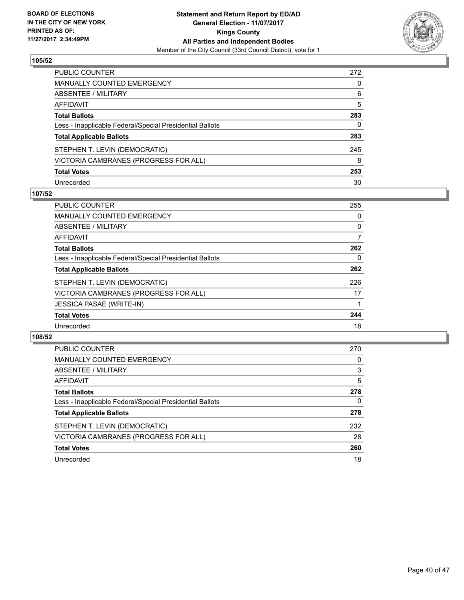

| PUBLIC COUNTER                                           | 272 |
|----------------------------------------------------------|-----|
| <b>MANUALLY COUNTED EMERGENCY</b>                        | 0   |
| ABSENTEE / MILITARY                                      | 6   |
| <b>AFFIDAVIT</b>                                         | 5   |
| <b>Total Ballots</b>                                     | 283 |
| Less - Inapplicable Federal/Special Presidential Ballots | 0   |
| <b>Total Applicable Ballots</b>                          | 283 |
| STEPHEN T. LEVIN (DEMOCRATIC)                            | 245 |
| VICTORIA CAMBRANES (PROGRESS FOR ALL)                    | 8   |
| <b>Total Votes</b>                                       | 253 |
| Unrecorded                                               | 30  |

#### **107/52**

| <b>PUBLIC COUNTER</b>                                    | 255 |
|----------------------------------------------------------|-----|
| <b>MANUALLY COUNTED EMERGENCY</b>                        | 0   |
| ABSENTEE / MILITARY                                      | 0   |
| <b>AFFIDAVIT</b>                                         | 7   |
| <b>Total Ballots</b>                                     | 262 |
| Less - Inapplicable Federal/Special Presidential Ballots | 0   |
| <b>Total Applicable Ballots</b>                          | 262 |
| STEPHEN T. LEVIN (DEMOCRATIC)                            | 226 |
| VICTORIA CAMBRANES (PROGRESS FOR ALL)                    | 17  |
| <b>JESSICA PASAE (WRITE-IN)</b>                          |     |
| <b>Total Votes</b>                                       | 244 |
| Unrecorded                                               | 18  |

| <b>PUBLIC COUNTER</b>                                    | 270 |
|----------------------------------------------------------|-----|
| MANUALLY COUNTED EMERGENCY                               | 0   |
| ABSENTEE / MILITARY                                      | 3   |
| AFFIDAVIT                                                | 5   |
| <b>Total Ballots</b>                                     | 278 |
| Less - Inapplicable Federal/Special Presidential Ballots | 0   |
| <b>Total Applicable Ballots</b>                          | 278 |
| STEPHEN T. LEVIN (DEMOCRATIC)                            | 232 |
| VICTORIA CAMBRANES (PROGRESS FOR ALL)                    | 28  |
| <b>Total Votes</b>                                       | 260 |
| Unrecorded                                               | 18  |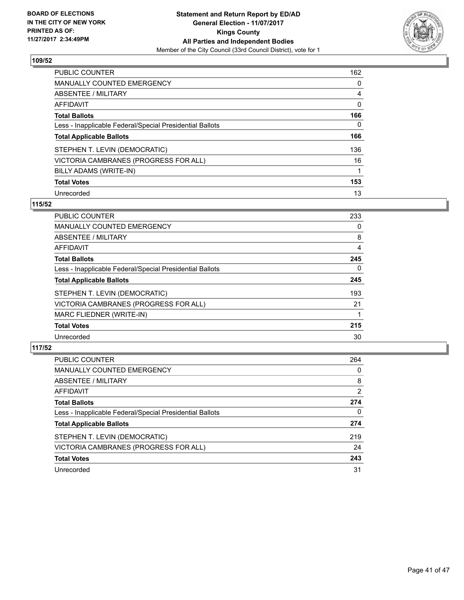

| <b>PUBLIC COUNTER</b>                                    | 162 |
|----------------------------------------------------------|-----|
| MANUALLY COUNTED EMERGENCY                               | 0   |
| ABSENTEE / MILITARY                                      | 4   |
| AFFIDAVIT                                                | 0   |
| <b>Total Ballots</b>                                     | 166 |
| Less - Inapplicable Federal/Special Presidential Ballots | 0   |
| <b>Total Applicable Ballots</b>                          | 166 |
| STEPHEN T. LEVIN (DEMOCRATIC)                            | 136 |
| VICTORIA CAMBRANES (PROGRESS FOR ALL)                    | 16  |
| BILLY ADAMS (WRITE-IN)                                   |     |
| <b>Total Votes</b>                                       | 153 |
| Unrecorded                                               | 13  |

# **115/52**

| <b>PUBLIC COUNTER</b>                                    | 233 |
|----------------------------------------------------------|-----|
| <b>MANUALLY COUNTED EMERGENCY</b>                        | 0   |
| ABSENTEE / MILITARY                                      | 8   |
| <b>AFFIDAVIT</b>                                         | 4   |
| <b>Total Ballots</b>                                     | 245 |
| Less - Inapplicable Federal/Special Presidential Ballots | 0   |
| <b>Total Applicable Ballots</b>                          | 245 |
| STEPHEN T. LEVIN (DEMOCRATIC)                            | 193 |
| VICTORIA CAMBRANES (PROGRESS FOR ALL)                    | 21  |
| MARC FLIEDNER (WRITE-IN)                                 |     |
| <b>Total Votes</b>                                       | 215 |
| Unrecorded                                               | 30  |

| <b>PUBLIC COUNTER</b>                                    | 264            |
|----------------------------------------------------------|----------------|
| MANUALLY COUNTED EMERGENCY                               | 0              |
| ABSENTEE / MILITARY                                      | 8              |
| AFFIDAVIT                                                | $\overline{2}$ |
| <b>Total Ballots</b>                                     | 274            |
| Less - Inapplicable Federal/Special Presidential Ballots | 0              |
| <b>Total Applicable Ballots</b>                          | 274            |
| STEPHEN T. LEVIN (DEMOCRATIC)                            | 219            |
| VICTORIA CAMBRANES (PROGRESS FOR ALL)                    | 24             |
| <b>Total Votes</b>                                       | 243            |
| Unrecorded                                               | 31             |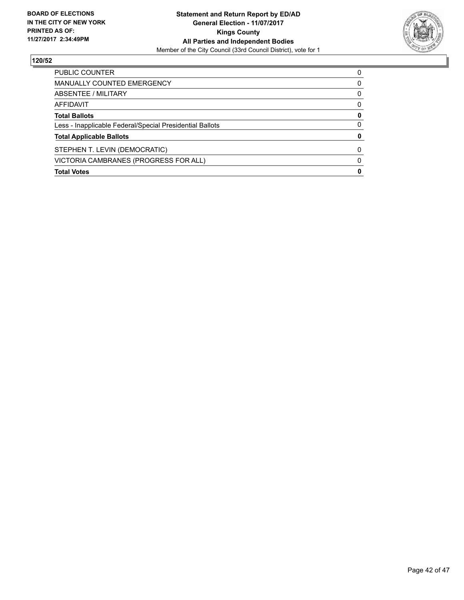

| <b>PUBLIC COUNTER</b>                                    | 0 |
|----------------------------------------------------------|---|
| <b>MANUALLY COUNTED EMERGENCY</b>                        | 0 |
| ABSENTEE / MILITARY                                      | 0 |
| AFFIDAVIT                                                | 0 |
| <b>Total Ballots</b>                                     | 0 |
| Less - Inapplicable Federal/Special Presidential Ballots | 0 |
| <b>Total Applicable Ballots</b>                          | 0 |
| STEPHEN T. LEVIN (DEMOCRATIC)                            | O |
| VICTORIA CAMBRANES (PROGRESS FOR ALL)                    | 0 |
| <b>Total Votes</b>                                       | 0 |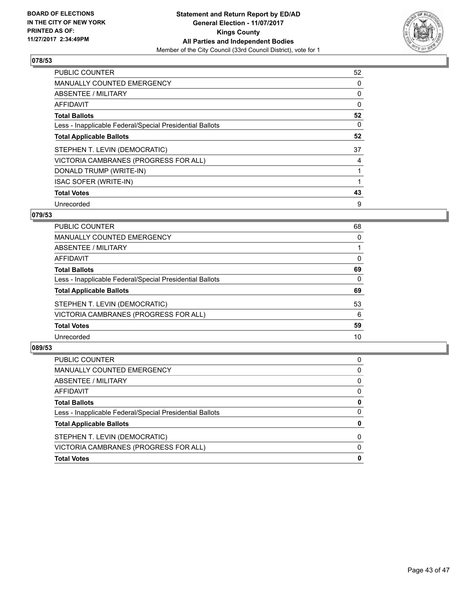

| <b>PUBLIC COUNTER</b>                                    | 52 |
|----------------------------------------------------------|----|
| <b>MANUALLY COUNTED EMERGENCY</b>                        | 0  |
| ABSENTEE / MILITARY                                      | 0  |
| <b>AFFIDAVIT</b>                                         | 0  |
| <b>Total Ballots</b>                                     | 52 |
| Less - Inapplicable Federal/Special Presidential Ballots | 0  |
| <b>Total Applicable Ballots</b>                          | 52 |
| STEPHEN T. LEVIN (DEMOCRATIC)                            | 37 |
| VICTORIA CAMBRANES (PROGRESS FOR ALL)                    | 4  |
| DONALD TRUMP (WRITE-IN)                                  | 1  |
| <b>ISAC SOFER (WRITE-IN)</b>                             |    |
| <b>Total Votes</b>                                       | 43 |
| Unrecorded                                               | 9  |

# **079/53**

| PUBLIC COUNTER                                           | 68 |
|----------------------------------------------------------|----|
| MANUALLY COUNTED EMERGENCY                               | 0  |
| ABSENTEE / MILITARY                                      |    |
| AFFIDAVIT                                                | 0  |
| <b>Total Ballots</b>                                     | 69 |
| Less - Inapplicable Federal/Special Presidential Ballots | 0  |
| <b>Total Applicable Ballots</b>                          | 69 |
| STEPHEN T. LEVIN (DEMOCRATIC)                            | 53 |
| VICTORIA CAMBRANES (PROGRESS FOR ALL)                    | 6  |
| <b>Total Votes</b>                                       | 59 |
| Unrecorded                                               | 10 |
|                                                          |    |

| <b>PUBLIC COUNTER</b>                                    | 0        |
|----------------------------------------------------------|----------|
| MANUALLY COUNTED EMERGENCY                               | 0        |
| ABSENTEE / MILITARY                                      | 0        |
| AFFIDAVIT                                                | 0        |
| <b>Total Ballots</b>                                     | 0        |
| Less - Inapplicable Federal/Special Presidential Ballots | 0        |
| <b>Total Applicable Ballots</b>                          | 0        |
| STEPHEN T. LEVIN (DEMOCRATIC)                            | $\Omega$ |
| VICTORIA CAMBRANES (PROGRESS FOR ALL)                    | $\Omega$ |
| <b>Total Votes</b>                                       | 0        |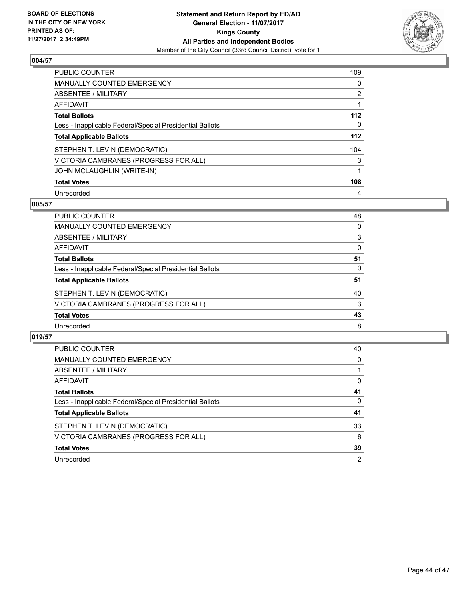

| PUBLIC COUNTER                                           | 109 |
|----------------------------------------------------------|-----|
| <b>MANUALLY COUNTED EMERGENCY</b>                        | 0   |
| ABSENTEE / MILITARY                                      | 2   |
| AFFIDAVIT                                                |     |
| <b>Total Ballots</b>                                     | 112 |
| Less - Inapplicable Federal/Special Presidential Ballots | 0   |
| <b>Total Applicable Ballots</b>                          | 112 |
| STEPHEN T. LEVIN (DEMOCRATIC)                            | 104 |
| VICTORIA CAMBRANES (PROGRESS FOR ALL)                    | 3   |
| <b>JOHN MCLAUGHLIN (WRITE-IN)</b>                        |     |
| <b>Total Votes</b>                                       | 108 |
| Unrecorded                                               | 4   |

#### **005/57**

| PUBLIC COUNTER                                           | 48 |
|----------------------------------------------------------|----|
| <b>MANUALLY COUNTED EMERGENCY</b>                        | 0  |
| ABSENTEE / MILITARY                                      | 3  |
| AFFIDAVIT                                                | 0  |
| <b>Total Ballots</b>                                     | 51 |
| Less - Inapplicable Federal/Special Presidential Ballots | 0  |
| <b>Total Applicable Ballots</b>                          | 51 |
| STEPHEN T. LEVIN (DEMOCRATIC)                            | 40 |
| VICTORIA CAMBRANES (PROGRESS FOR ALL)                    | 3  |
| <b>Total Votes</b>                                       | 43 |
| Unrecorded                                               | 8  |

| <b>PUBLIC COUNTER</b>                                    | 40 |
|----------------------------------------------------------|----|
| <b>MANUALLY COUNTED EMERGENCY</b>                        | 0  |
| ABSENTEE / MILITARY                                      |    |
| AFFIDAVIT                                                | 0  |
| <b>Total Ballots</b>                                     | 41 |
| Less - Inapplicable Federal/Special Presidential Ballots | 0  |
| <b>Total Applicable Ballots</b>                          | 41 |
| STEPHEN T. LEVIN (DEMOCRATIC)                            | 33 |
| VICTORIA CAMBRANES (PROGRESS FOR ALL)                    | 6  |
| <b>Total Votes</b>                                       | 39 |
| Unrecorded                                               | 2  |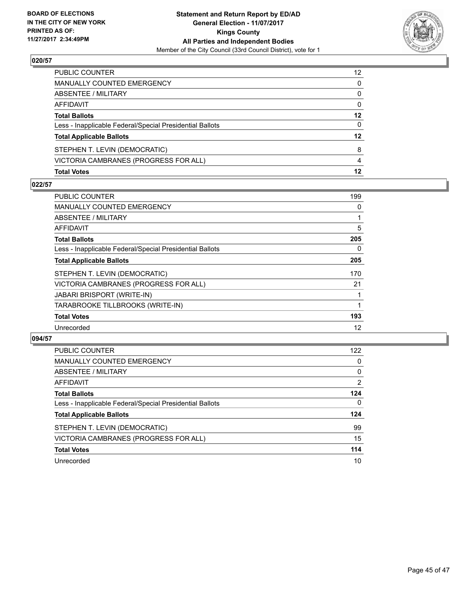

| STEPHEN T. LEVIN (DEMOCRATIC)<br>VICTORIA CAMBRANES (PROGRESS FOR ALL) | 8<br>4 |
|------------------------------------------------------------------------|--------|
| <b>Total Applicable Ballots</b>                                        | 12     |
| Less - Inapplicable Federal/Special Presidential Ballots               | 0      |
| <b>Total Ballots</b>                                                   | 12     |
| AFFIDAVIT                                                              | 0      |
| <b>ABSENTEE / MILITARY</b>                                             | 0      |
| MANUALLY COUNTED EMERGENCY                                             | 0      |
| PUBLIC COUNTER                                                         | 12     |

#### **022/57**

| PUBLIC COUNTER                                           | 199 |
|----------------------------------------------------------|-----|
| MANUALLY COUNTED EMERGENCY                               | 0   |
| ABSENTEE / MILITARY                                      |     |
| AFFIDAVIT                                                | 5   |
| <b>Total Ballots</b>                                     | 205 |
| Less - Inapplicable Federal/Special Presidential Ballots | 0   |
| <b>Total Applicable Ballots</b>                          | 205 |
| STEPHEN T. LEVIN (DEMOCRATIC)                            | 170 |
| VICTORIA CAMBRANES (PROGRESS FOR ALL)                    | 21  |
| <b>JABARI BRISPORT (WRITE-IN)</b>                        |     |
| TARABROOKE TILLBROOKS (WRITE-IN)                         |     |
| <b>Total Votes</b>                                       | 193 |
| Unrecorded                                               | 12  |
|                                                          |     |

| <b>PUBLIC COUNTER</b>                                    | 122            |
|----------------------------------------------------------|----------------|
| <b>MANUALLY COUNTED EMERGENCY</b>                        | 0              |
| ABSENTEE / MILITARY                                      | 0              |
| AFFIDAVIT                                                | $\overline{2}$ |
| <b>Total Ballots</b>                                     | 124            |
| Less - Inapplicable Federal/Special Presidential Ballots | 0              |
| <b>Total Applicable Ballots</b>                          | 124            |
| STEPHEN T. LEVIN (DEMOCRATIC)                            | 99             |
| VICTORIA CAMBRANES (PROGRESS FOR ALL)                    | 15             |
| <b>Total Votes</b>                                       | 114            |
| Unrecorded                                               | 10             |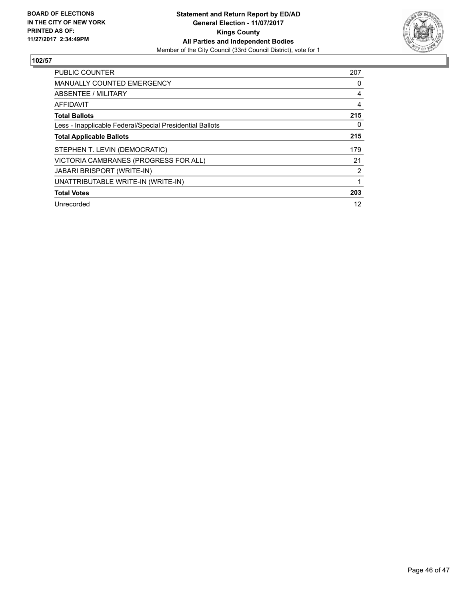

| <b>PUBLIC COUNTER</b>                                    | 207 |
|----------------------------------------------------------|-----|
| <b>MANUALLY COUNTED EMERGENCY</b>                        | 0   |
| ABSENTEE / MILITARY                                      | 4   |
| <b>AFFIDAVIT</b>                                         | 4   |
| <b>Total Ballots</b>                                     | 215 |
| Less - Inapplicable Federal/Special Presidential Ballots | 0   |
| <b>Total Applicable Ballots</b>                          | 215 |
| STEPHEN T. LEVIN (DEMOCRATIC)                            | 179 |
| VICTORIA CAMBRANES (PROGRESS FOR ALL)                    | 21  |
| <b>JABARI BRISPORT (WRITE-IN)</b>                        | 2   |
| UNATTRIBUTABLE WRITE-IN (WRITE-IN)                       |     |
| <b>Total Votes</b>                                       | 203 |
| Unrecorded                                               | 12  |